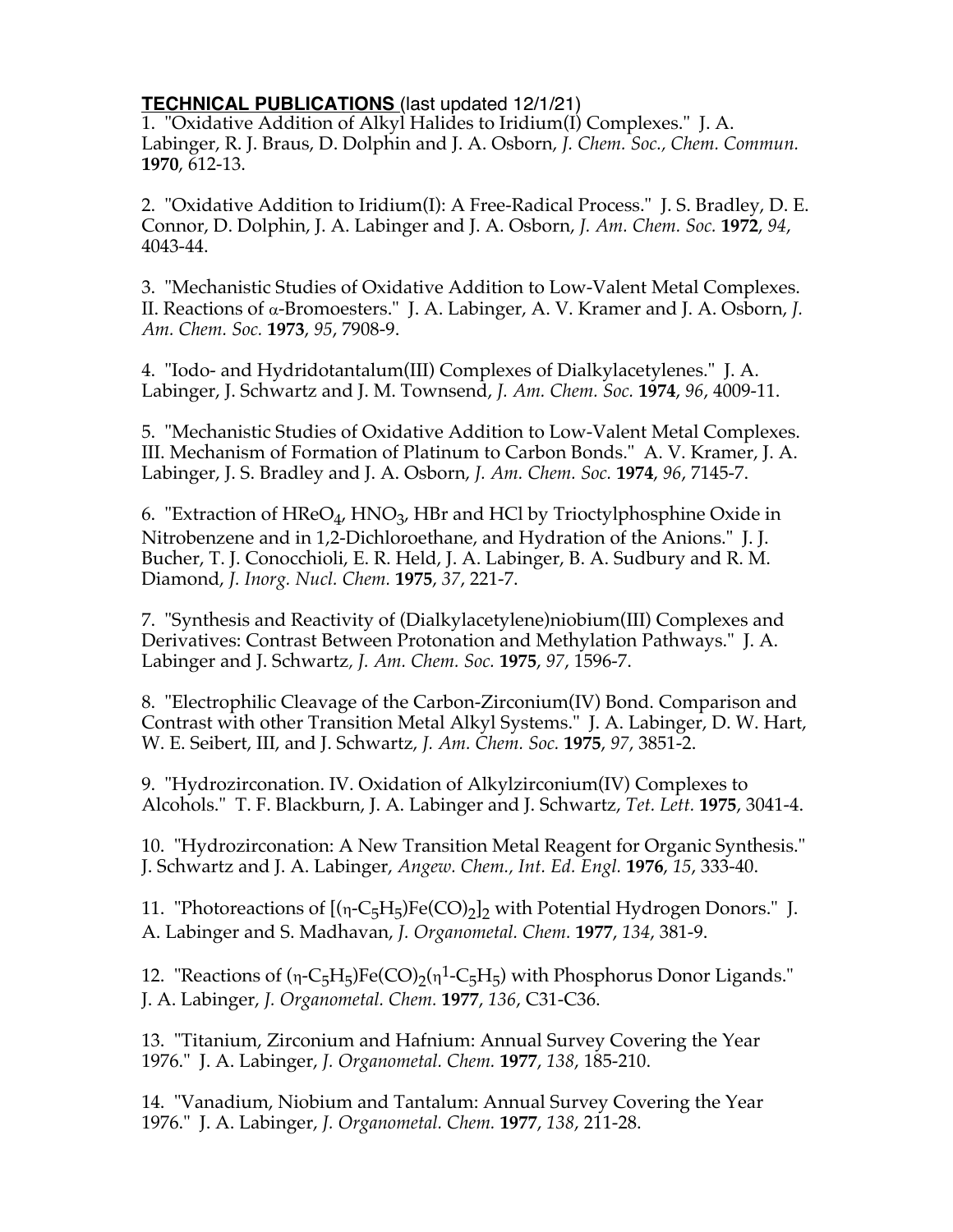## **TECHNICAL PUBLICATIONS** (last updated 12/1/21)

1. "Oxidative Addition of Alkyl Halides to Iridium(I) Complexes." J. A. Labinger, R. J. Braus, D. Dolphin and J. A. Osborn, *J. Chem. Soc., Chem. Commun.* **1970**, 612-13.

2. "Oxidative Addition to Iridium(I): A Free-Radical Process." J. S. Bradley, D. E. Connor, D. Dolphin, J. A. Labinger and J. A. Osborn, *J. Am. Chem. Soc.* **1972**, *94*, 4043-44.

3. "Mechanistic Studies of Oxidative Addition to Low-Valent Metal Complexes. II. Reactions of a-Bromoesters." J. A. Labinger, A. V. Kramer and J. A. Osborn, *J. Am. Chem. Soc.* **1973**, *95*, 7908-9.

4. "Iodo- and Hydridotantalum(III) Complexes of Dialkylacetylenes." J. A. Labinger, J. Schwartz and J. M. Townsend, *J. Am. Chem. Soc.* **1974**, *96*, 4009-11.

5. "Mechanistic Studies of Oxidative Addition to Low-Valent Metal Complexes. III. Mechanism of Formation of Platinum to Carbon Bonds." A. V. Kramer, J. A. Labinger, J. S. Bradley and J. A. Osborn, *J. Am. Chem. Soc.* **1974**, *96*, 7145-7.

6. "Extraction of HReO<sub>4</sub>, HNO<sub>3</sub>, HBr and HCl by Trioctylphosphine Oxide in Nitrobenzene and in 1,2-Dichloroethane, and Hydration of the Anions." J. J. Bucher, T. J. Conocchioli, E. R. Held, J. A. Labinger, B. A. Sudbury and R. M. Diamond, *J. Inorg. Nucl. Chem.* **1975**, *37*, 221-7.

7. "Synthesis and Reactivity of (Dialkylacetylene)niobium(III) Complexes and Derivatives: Contrast Between Protonation and Methylation Pathways." J. A. Labinger and J. Schwartz*, J. Am. Chem. Soc.* **1975**, *97*, 1596-7.

8. "Electrophilic Cleavage of the Carbon-Zirconium(IV) Bond. Comparison and Contrast with other Transition Metal Alkyl Systems." J. A. Labinger, D. W. Hart, W. E. Seibert, III, and J. Schwartz, *J. Am. Chem. Soc.* **1975**, *97*, 3851-2.

9. "Hydrozirconation. IV. Oxidation of Alkylzirconium(IV) Complexes to Alcohols." T. F. Blackburn, J. A. Labinger and J. Schwartz, *Tet. Lett.* **1975**, 3041-4.

10. "Hydrozirconation: A New Transition Metal Reagent for Organic Synthesis." J. Schwartz and J. A. Labinger, *Angew. Chem., Int. Ed. Engl.* **1976**, *15*, 333-40.

11. "Photoreactions of  $[(\eta$ -C<sub>5</sub>H<sub>5</sub>)Fe(CO)<sub>2</sub>]<sub>2</sub> with Potential Hydrogen Donors." J. A. Labinger and S. Madhavan, *J. Organometal. Chem.* **1977**, *134*, 381-9.

12. "Reactions of  $(n-C_5H_5)Fe(CO)_2(n^1-C_5H_5)$  with Phosphorus Donor Ligands." J. A. Labinger, *J. Organometal. Chem.* **1977**, *136*, C31-C36.

13. "Titanium, Zirconium and Hafnium: Annual Survey Covering the Year 1976." J. A. Labinger, *J. Organometal. Chem.* **1977**, *138*, 185-210.

14. "Vanadium, Niobium and Tantalum: Annual Survey Covering the Year 1976." J. A. Labinger, *J. Organometal. Chem.* **1977**, *138*, 211-28.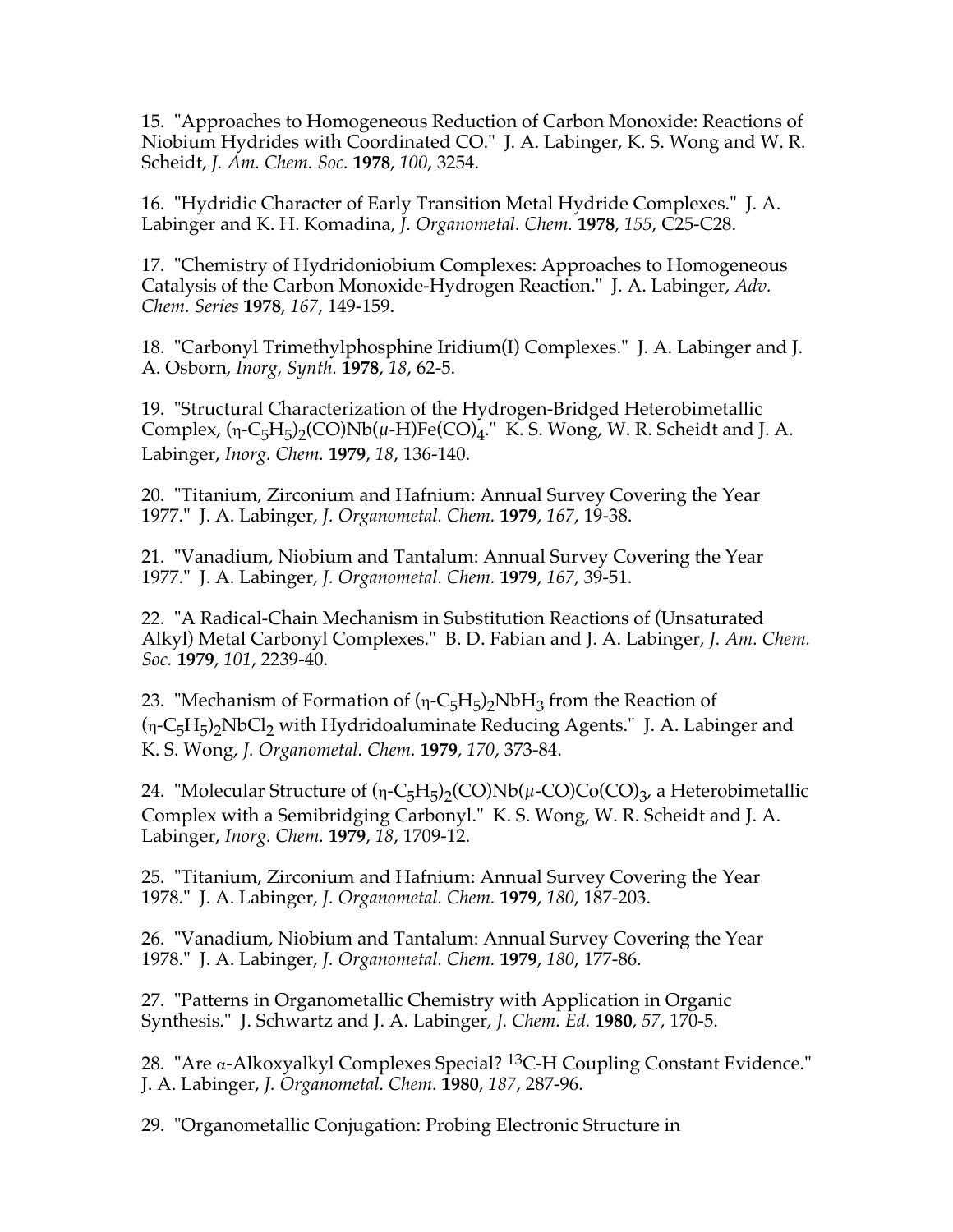15. "Approaches to Homogeneous Reduction of Carbon Monoxide: Reactions of Niobium Hydrides with Coordinated CO." J. A. Labinger, K. S. Wong and W. R. Scheidt, *J. Am. Chem. Soc.* **1978**, *100*, 3254.

16. "Hydridic Character of Early Transition Metal Hydride Complexes." J. A. Labinger and K. H. Komadina, *J. Organometal. Chem.* **1978**, *155*, C25-C28.

17. "Chemistry of Hydridoniobium Complexes: Approaches to Homogeneous Catalysis of the Carbon Monoxide-Hydrogen Reaction." J. A. Labinger, *Adv. Chem. Series* **1978**, *167*, 149-159.

18. "Carbonyl Trimethylphosphine Iridium(I) Complexes." J. A. Labinger and J. A. Osborn, *Inorg, Synth.* **1978**, *18*, 62-5.

19. "Structural Characterization of the Hydrogen-Bridged Heterobimetallic Complex,  $(n-C_5H_5)$ <sub>2</sub>(CO)Nb( $\mu$ -H)Fe(CO)<sub>4</sub>." K. S. Wong, W. R. Scheidt and J. A. Labinger, *Inorg. Chem.* **1979**, *18*, 136-140.

20. "Titanium, Zirconium and Hafnium: Annual Survey Covering the Year 1977." J. A. Labinger, *J. Organometal. Chem.* **1979**, *167*, 19-38.

21. "Vanadium, Niobium and Tantalum: Annual Survey Covering the Year 1977." J. A. Labinger, *J. Organometal. Chem.* **1979**, *167*, 39-51.

22. "A Radical-Chain Mechanism in Substitution Reactions of (Unsaturated Alkyl) Metal Carbonyl Complexes." B. D. Fabian and J. A. Labinger, *J. Am. Chem. Soc.* **1979**, *101*, 2239-40.

23. "Mechanism of Formation of  $(n-C<sub>5</sub>H<sub>5</sub>)<sub>2</sub>NbH<sub>3</sub>$  from the Reaction of  $(n-C<sub>5</sub>H<sub>5</sub>)<sub>2</sub>NbCl<sub>2</sub>$  with Hydridoaluminate Reducing Agents." J. A. Labinger and K. S. Wong, *J. Organometal. Chem.* **1979**, *170*, 373-84.

24. "Molecular Structure of  $(n-C_5H_5)_2(CO)Nb(\mu\text{-}CO)Co(CO)_3$ , a Heterobimetallic Complex with a Semibridging Carbonyl." K. S. Wong, W. R. Scheidt and J. A. Labinger, *Inorg. Chem.* **1979**, *18*, 1709-12.

25. "Titanium, Zirconium and Hafnium: Annual Survey Covering the Year 1978." J. A. Labinger, *J. Organometal. Chem.* **1979**, *180*, 187-203.

26. "Vanadium, Niobium and Tantalum: Annual Survey Covering the Year 1978." J. A. Labinger, *J. Organometal. Chem.* **1979**, *180*, 177-86.

27. "Patterns in Organometallic Chemistry with Application in Organic Synthesis." J. Schwartz and J. A. Labinger, *J. Chem. Ed.* **1980**, *57*, 170-5.

28. "Are  $\alpha$ -Alkoxyalkyl Complexes Special? <sup>13</sup>C-H Coupling Constant Evidence." J. A. Labinger, *J. Organometal. Chem.* **1980**, *187*, 287-96.

29. "Organometallic Conjugation: Probing Electronic Structure in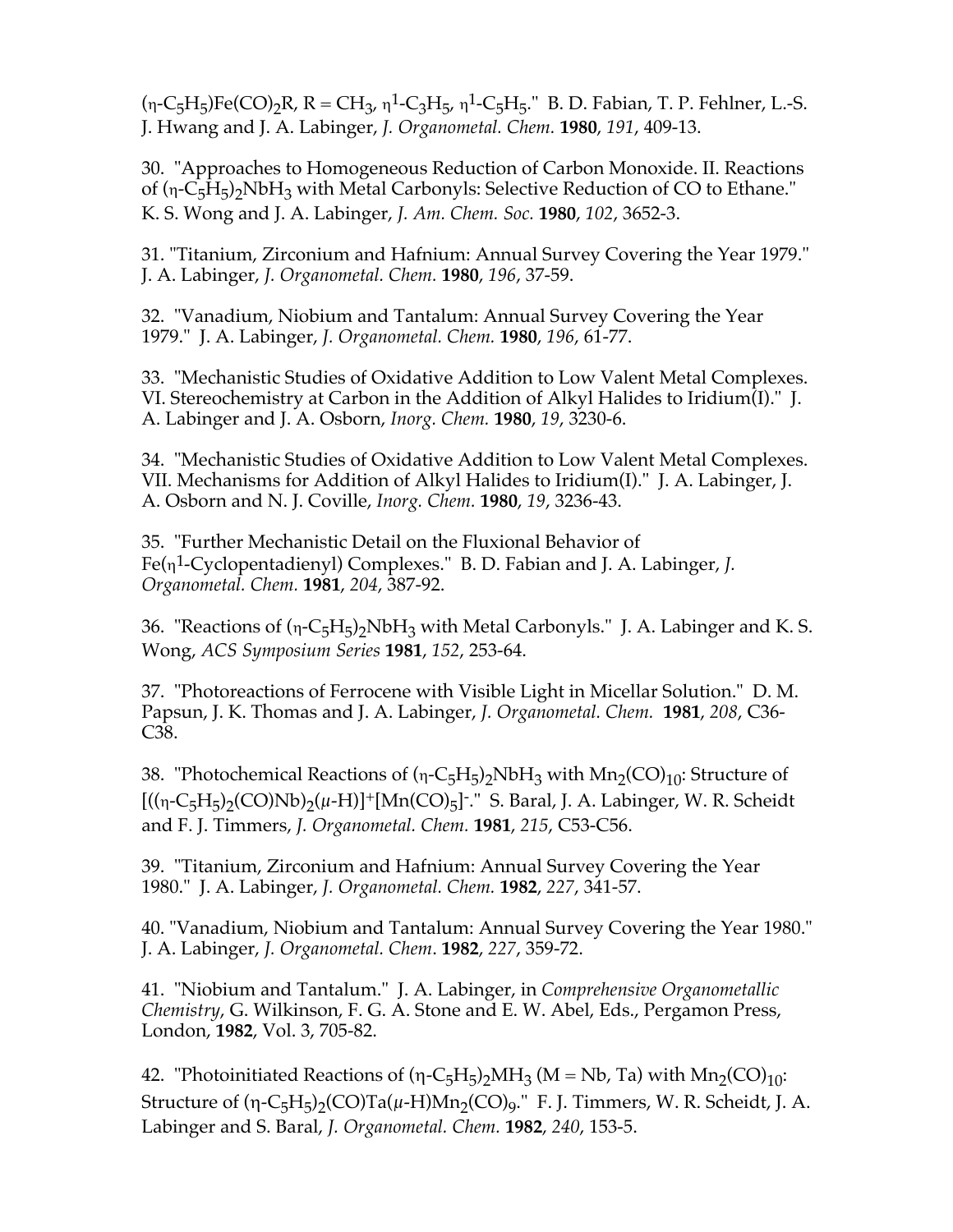$(n-C_5H_5)Fe(CO)_2R$ ,  $R = CH_3$ ,  $n^1-C_3H_5$ ,  $n^1-C_5H_5$ ." B. D. Fabian, T. P. Fehlner, L.-S. J. Hwang and J. A. Labinger, *J. Organometal. Chem.* **1980**, *191*, 409-13.

30. "Approaches to Homogeneous Reduction of Carbon Monoxide. II. Reactions of  $(n-C_5H_5)$ <sub>2</sub>NbH<sub>3</sub> with Metal Carbonyls: Selective Reduction of CO to Ethane." K. S. Wong and J. A. Labinger, *J. Am. Chem. Soc.* **1980**, *102*, 3652-3.

31. "Titanium, Zirconium and Hafnium: Annual Survey Covering the Year 1979." J. A. Labinger, *J. Organometal. Chem.* **1980**, *196*, 37-59.

32. "Vanadium, Niobium and Tantalum: Annual Survey Covering the Year 1979." J. A. Labinger, *J. Organometal. Chem.* **1980**, *196*, 61-77.

33. "Mechanistic Studies of Oxidative Addition to Low Valent Metal Complexes. VI. Stereochemistry at Carbon in the Addition of Alkyl Halides to Iridium(I)." J. A. Labinger and J. A. Osborn, *Inorg. Chem.* **1980**, *19*, 3230-6.

34. "Mechanistic Studies of Oxidative Addition to Low Valent Metal Complexes. VII. Mechanisms for Addition of Alkyl Halides to Iridium(I)." J. A. Labinger, J. A. Osborn and N. J. Coville, *Inorg. Chem.* **1980**, *19*, 3236-43.

35. "Further Mechanistic Detail on the Fluxional Behavior of Fe(h1-Cyclopentadienyl) Complexes." B. D. Fabian and J. A. Labinger, *J. Organometal. Chem.* **1981**, *204*, 387-92.

36. "Reactions of  $(n-C_5H_5)_2NbH_3$  with Metal Carbonyls." J. A. Labinger and K. S. Wong, *ACS Symposium Series* **1981**, *152*, 253-64.

37. "Photoreactions of Ferrocene with Visible Light in Micellar Solution." D. M. Papsun, J. K. Thomas and J. A. Labinger, *J. Organometal. Chem.* **1981**, *208*, C36- C38.

38. "Photochemical Reactions of  $(n-C_5H_5)$ <sub>2</sub>NbH<sub>3</sub> with Mn<sub>2</sub>(CO)<sub>10</sub>: Structure of  $[((\eta$ -C<sub>5</sub>H<sub>5</sub>)<sub>2</sub>(CO)Nb)<sub>2</sub>( $\mu$ -H)]<sup>+</sup>[Mn(CO)<sub>5</sub>]<sup>-</sup>." S. Baral, J. A. Labinger, W. R. Scheidt and F. J. Timmers, *J. Organometal. Chem.* **1981**, *215*, C53-C56.

39. "Titanium, Zirconium and Hafnium: Annual Survey Covering the Year 1980." J. A. Labinger, *J. Organometal. Chem.* **1982**, *227*, 341-57.

40. "Vanadium, Niobium and Tantalum: Annual Survey Covering the Year 1980." J. A. Labinger, *J. Organometal. Chem*. **1982**, *227*, 359-72.

41. "Niobium and Tantalum." J. A. Labinger, in *Comprehensive Organometallic Chemistry*, G. Wilkinson, F. G. A. Stone and E. W. Abel, Eds., Pergamon Press, London, **1982**, Vol. 3, 705-82.

42. "Photoinitiated Reactions of  $(\eta$ -C<sub>5</sub>H<sub>5</sub>)<sub>2</sub>MH<sub>3</sub> (M = Nb, Ta) with Mn<sub>2</sub>(CO)<sub>10</sub>: Structure of  $(\eta$ -C<sub>5</sub>H<sub>5</sub> $)2$ (CO)Ta( $\mu$ -H)Mn<sub>2</sub>(CO) $9$ ." F. J. Timmers, W. R. Scheidt, J. A. Labinger and S. Baral, *J. Organometal. Chem.* **1982**, *240*, 153-5.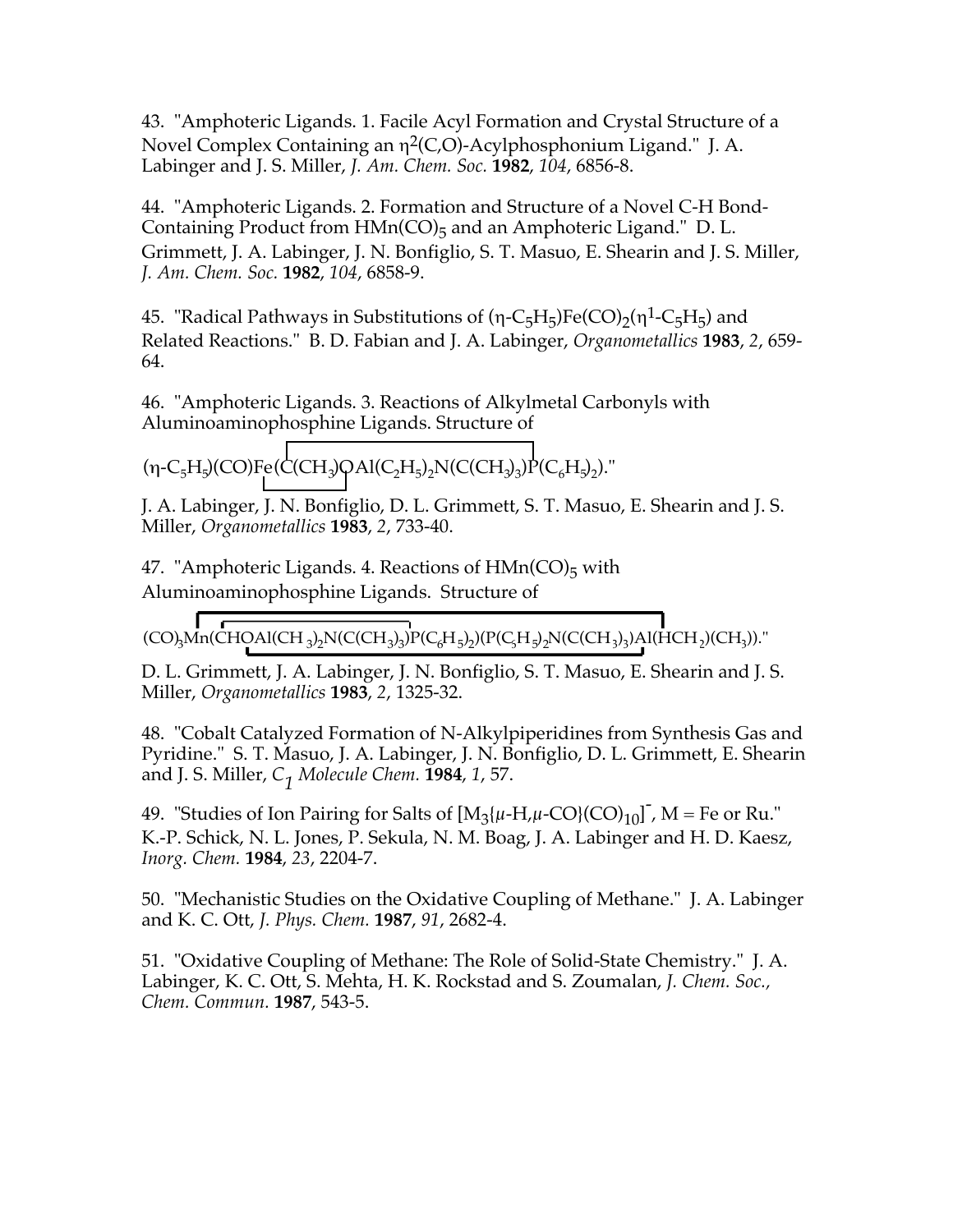43. "Amphoteric Ligands. 1. Facile Acyl Formation and Crystal Structure of a Novel Complex Containing an  $\eta^2(C, O)$ -Acylphosphonium Ligand." J. A. Labinger and J. S. Miller, *J. Am. Chem. Soc.* **1982**, *104*, 6856-8.

44. "Amphoteric Ligands. 2. Formation and Structure of a Novel C-H Bond-Containing Product from  $HMn(CO)_{5}$  and an Amphoteric Ligand." D. L. Grimmett, J. A. Labinger, J. N. Bonfiglio, S. T. Masuo, E. Shearin and J. S. Miller, *J. Am. Chem. Soc.* **1982**, *104*, 6858-9.

45. "Radical Pathways in Substitutions of  $(n-C_5H_5)Fe(CO)_2(n^1-C_5H_5)$  and Related Reactions." B. D. Fabian and J. A. Labinger, *Organometallics* **1983**, *2*, 659- 64.

46. "Amphoteric Ligands. 3. Reactions of Alkylmetal Carbonyls with Aluminoaminophosphine Ligands. Structure of

 $(\eta$ -C<sub>5</sub>H<sub>5</sub>)(CO)Fe(C(CH<sub>3</sub>)QAl(C<sub>2</sub>H<sub>5</sub>)<sub>2</sub>N(C(CH<sub>3</sub>)<sub>3</sub>)P(C<sub>6</sub>H<sub>5</sub>)<sub>2</sub>)."

J. A. Labinger, J. N. Bonfiglio, D. L. Grimmett, S. T. Masuo, E. Shearin and J. S. Miller, *Organometallics* **1983**, *2*, 733-40.

47. "Amphoteric Ligands. 4. Reactions of  $HMn(CO)_{5}$  with Aluminoaminophosphine Ligands. Structure of

$$
\left(\text{CO}\right)_3\!\text{Mn}(\text{CHOAl}(\text{CH}_3)_2\text{N}(\text{C}(\text{CH}_3)_3)\text{P}(\text{C}_6\text{H}_5)_2)(\text{P}(\text{C}_5\text{H}_5)_2\text{N}(\text{C}(\text{CH}_3)_3)\text{Al}(\text{HCH}_2)(\text{CH}_3))."\\
$$

D. L. Grimmett, J. A. Labinger, J. N. Bonfiglio, S. T. Masuo, E. Shearin and J. S. Miller, *Organometallics* **1983**, *2*, 1325-32.

48. "Cobalt Catalyzed Formation of N-Alkylpiperidines from Synthesis Gas and Pyridine." S. T. Masuo, J. A. Labinger, J. N. Bonfiglio, D. L. Grimmett, E. Shearin and J. S. Miller, *C1 Molecule Chem.* **<sup>1984</sup>**, *1*, 57.

49. "Studies of Ion Pairing for Salts of  $[M_3{\{\mu\text{-H},\mu\text{-CO}\}(CO)_1{}_0]^{\text{-}}$ , M = Fe or Ru." K.-P. Schick, N. L. Jones, P. Sekula, N. M. Boag, J. A. Labinger and H. D. Kaesz, *Inorg. Chem.* **1984**, *23*, 2204-7.

50. "Mechanistic Studies on the Oxidative Coupling of Methane." J. A. Labinger and K. C. Ott, *J. Phys. Chem.* **1987**, *91*, 2682-4.

51. "Oxidative Coupling of Methane: The Role of Solid-State Chemistry." J. A. Labinger, K. C. Ott, S. Mehta, H. K. Rockstad and S. Zoumalan, *J. Chem. Soc., Chem. Commun.* **1987**, 543-5.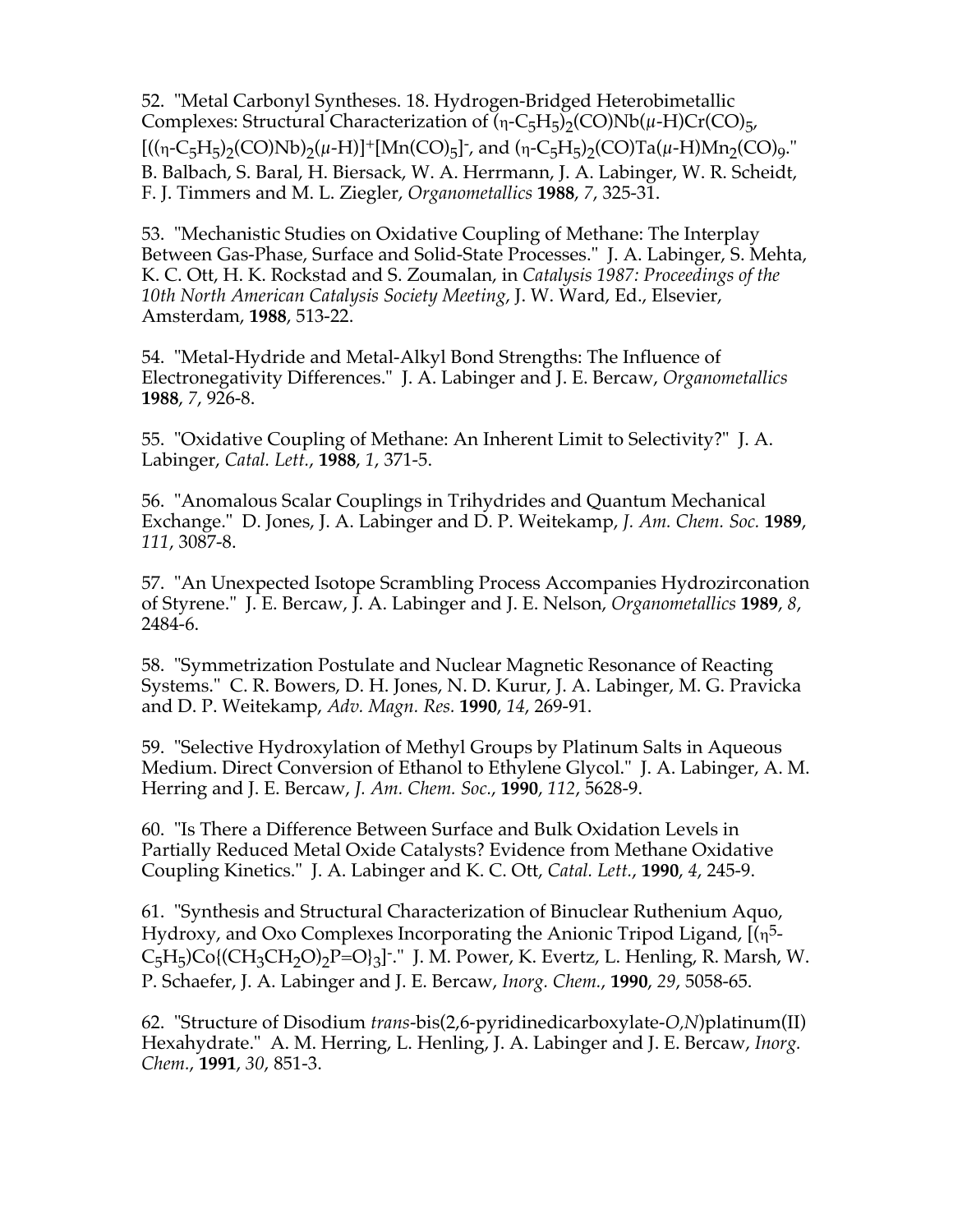52. "Metal Carbonyl Syntheses. 18. Hydrogen-Bridged Heterobimetallic Complexes: Structural Characterization of  $(n-C<sub>5</sub>H<sub>5</sub>)$ <sub>2</sub>(CO)Nb( $\mu$ -H)Cr(CO)<sub>5</sub>,  $[(({\eta}$ -C<sub>5</sub>H<sub>5</sub>)<sub>2</sub>(CO)Nb)<sub>2</sub>( $\mu$ -H)]<sup>+</sup>[Mn(CO)<sub>5</sub>]<sup>-</sup>, and ( ${\eta}$ -C<sub>5</sub>H<sub>5</sub>)<sub>2</sub>(CO)Ta( $\mu$ -H)Mn<sub>2</sub>(CO)<sub>9</sub>." B. Balbach, S. Baral, H. Biersack, W. A. Herrmann, J. A. Labinger, W. R. Scheidt, F. J. Timmers and M. L. Ziegler, *Organometallics* **1988**, *7*, 325-31.

53. "Mechanistic Studies on Oxidative Coupling of Methane: The Interplay Between Gas-Phase, Surface and Solid-State Processes." J. A. Labinger, S. Mehta, K. C. Ott, H. K. Rockstad and S. Zoumalan, in *Catalysis 1987: Proceedings of the 10th North American Catalysis Society Meeting*, J. W. Ward, Ed., Elsevier, Amsterdam, **1988**, 513-22.

54. "Metal-Hydride and Metal-Alkyl Bond Strengths: The Influence of Electronegativity Differences." J. A. Labinger and J. E. Bercaw, *Organometallics* **1988**, *7*, 926-8.

55. "Oxidative Coupling of Methane: An Inherent Limit to Selectivity?" J. A. Labinger, *Catal. Lett.*, **1988**, *1*, 371-5.

56. "Anomalous Scalar Couplings in Trihydrides and Quantum Mechanical Exchange." D. Jones, J. A. Labinger and D. P. Weitekamp, *J. Am. Chem. Soc.* **1989**, *111*, 3087-8.

57. "An Unexpected Isotope Scrambling Process Accompanies Hydrozirconation of Styrene." J. E. Bercaw, J. A. Labinger and J. E. Nelson, *Organometallics* **1989**, *8*, 2484-6.

58. "Symmetrization Postulate and Nuclear Magnetic Resonance of Reacting Systems." C. R. Bowers, D. H. Jones, N. D. Kurur, J. A. Labinger, M. G. Pravicka and D. P. Weitekamp, *Adv. Magn. Res.* **1990**, *14*, 269-91.

59. "Selective Hydroxylation of Methyl Groups by Platinum Salts in Aqueous Medium. Direct Conversion of Ethanol to Ethylene Glycol." J. A. Labinger, A. M. Herring and J. E. Bercaw, *J. Am. Chem. Soc.*, **1990**, *112*, 5628-9.

60. "Is There a Difference Between Surface and Bulk Oxidation Levels in Partially Reduced Metal Oxide Catalysts? Evidence from Methane Oxidative Coupling Kinetics." J. A. Labinger and K. C. Ott, *Catal. Lett.*, **1990**, *4*, 245-9.

61. "Synthesis and Structural Characterization of Binuclear Ruthenium Aquo, Hydroxy, and Oxo Complexes Incorporating the Anionic Tripod Ligand,  $[(n<sup>5</sup>-1)]$  $C_5H_5$ )Co{(CH<sub>3</sub>CH<sub>2</sub>O)<sub>2</sub>P=O}<sub>3</sub>]<sup>-</sup>." J. M. Power, K. Evertz, L. Henling, R. Marsh, W. P. Schaefer, J. A. Labinger and J. E. Bercaw, *Inorg. Chem.*, **1990**, *29*, 5058-65.

62. "Structure of Disodium *trans*-bis(2,6-pyridinedicarboxylate-*O,N*)platinum(II) Hexahydrate." A. M. Herring, L. Henling, J. A. Labinger and J. E. Bercaw, *Inorg. Chem.*, **1991**, *30*, 851-3.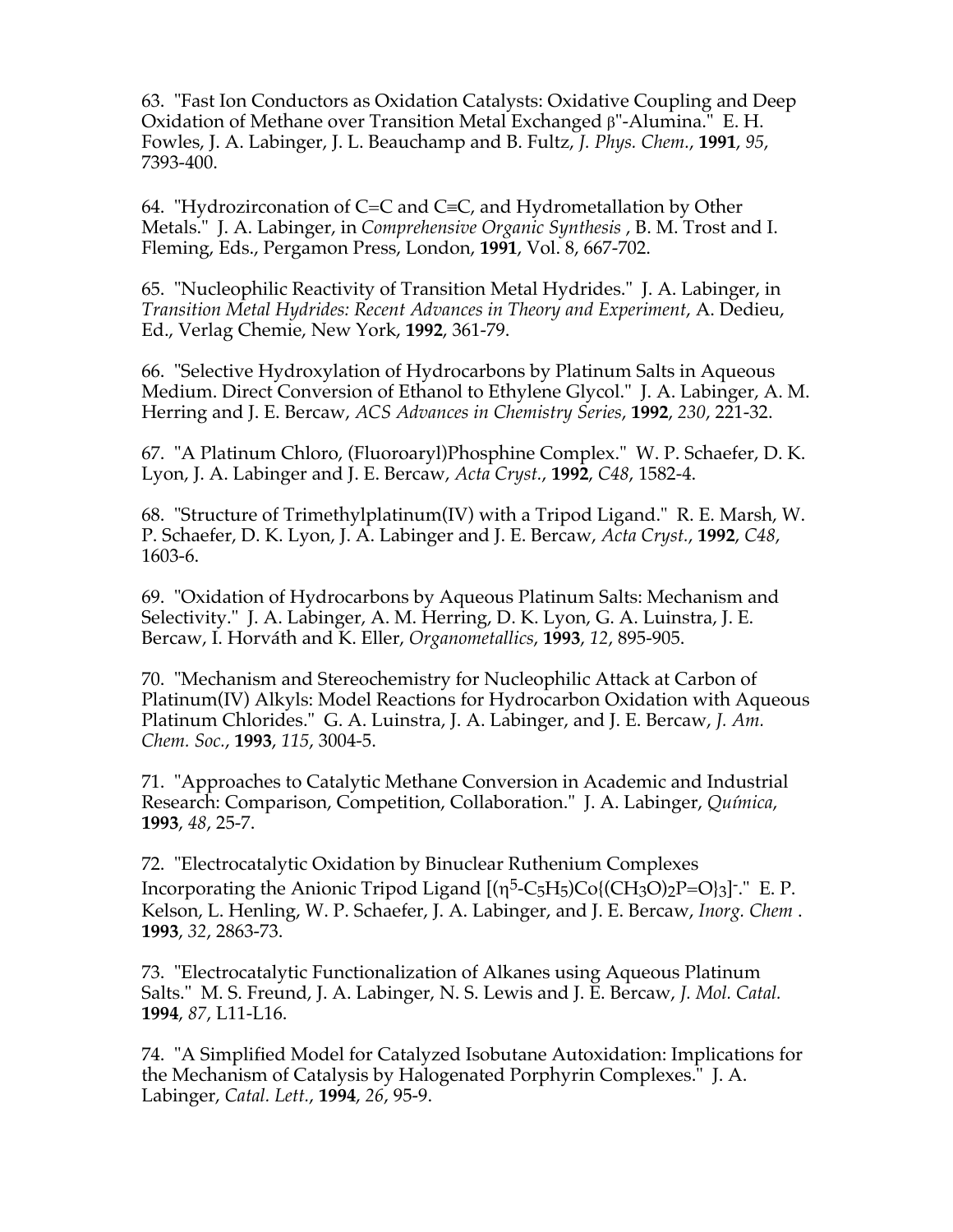63. "Fast Ion Conductors as Oxidation Catalysts: Oxidative Coupling and Deep Oxidation of Methane over Transition Metal Exchanged b"-Alumina." E. H. Fowles, J. A. Labinger, J. L. Beauchamp and B. Fultz, *J. Phys. Chem.*, **1991**, *95*, 7393-400.

64. "Hydrozirconation of C=C and C $\equiv$ C, and Hydrometallation by Other Metals." J. A. Labinger, in *Comprehensive Organic Synthesis* , B. M. Trost and I. Fleming, Eds., Pergamon Press, London, **1991**, Vol. 8, 667-702.

65. "Nucleophilic Reactivity of Transition Metal Hydrides." J. A. Labinger, in *Transition Metal Hydrides: Recent Advances in Theory and Experiment*, A. Dedieu, Ed., Verlag Chemie, New York, **1992**, 361-79.

66. "Selective Hydroxylation of Hydrocarbons by Platinum Salts in Aqueous Medium. Direct Conversion of Ethanol to Ethylene Glycol." J. A. Labinger, A. M. Herring and J. E. Bercaw, *ACS Advances in Chemistry Series*, **1992**, *230*, 221-32.

67. "A Platinum Chloro, (Fluoroaryl)Phosphine Complex." W. P. Schaefer, D. K. Lyon, J. A. Labinger and J. E. Bercaw, *Acta Cryst.*, **1992**, *C48*, 1582-4.

68. "Structure of Trimethylplatinum(IV) with a Tripod Ligand." R. E. Marsh, W. P. Schaefer, D. K. Lyon, J. A. Labinger and J. E. Bercaw, *Acta Cryst.*, **1992**, *C48*, 1603-6.

69. "Oxidation of Hydrocarbons by Aqueous Platinum Salts: Mechanism and Selectivity." J. A. Labinger, A. M. Herring, D. K. Lyon, G. A. Luinstra, J. E. Bercaw, I. Horváth and K. Eller, *Organometallics*, **1993**, *12*, 895-905.

70. "Mechanism and Stereochemistry for Nucleophilic Attack at Carbon of Platinum(IV) Alkyls: Model Reactions for Hydrocarbon Oxidation with Aqueous Platinum Chlorides." G. A. Luinstra, J. A. Labinger, and J. E. Bercaw, *J. Am. Chem. Soc.*, **1993**, *115*, 3004-5.

71. "Approaches to Catalytic Methane Conversion in Academic and Industrial Research: Comparison, Competition, Collaboration." J. A. Labinger, *Química*, **1993**, *48*, 25-7.

72. "Electrocatalytic Oxidation by Binuclear Ruthenium Complexes Incorporating the Anionic Tripod Ligand  $[(\eta^5-C_5H_5)Co{(CH_3O)_2P=O_3}]$ ." E. P. Kelson, L. Henling, W. P. Schaefer, J. A. Labinger, and J. E. Bercaw, *Inorg. Chem* . **1993**, *32*, 2863-73.

73. "Electrocatalytic Functionalization of Alkanes using Aqueous Platinum Salts." M. S. Freund, J. A. Labinger, N. S. Lewis and J. E. Bercaw, *J. Mol. Catal.* **1994**, *87*, L11-L16.

74. "A Simplified Model for Catalyzed Isobutane Autoxidation: Implications for the Mechanism of Catalysis by Halogenated Porphyrin Complexes." J. A. Labinger, *Catal. Lett.*, **1994**, *26*, 95-9.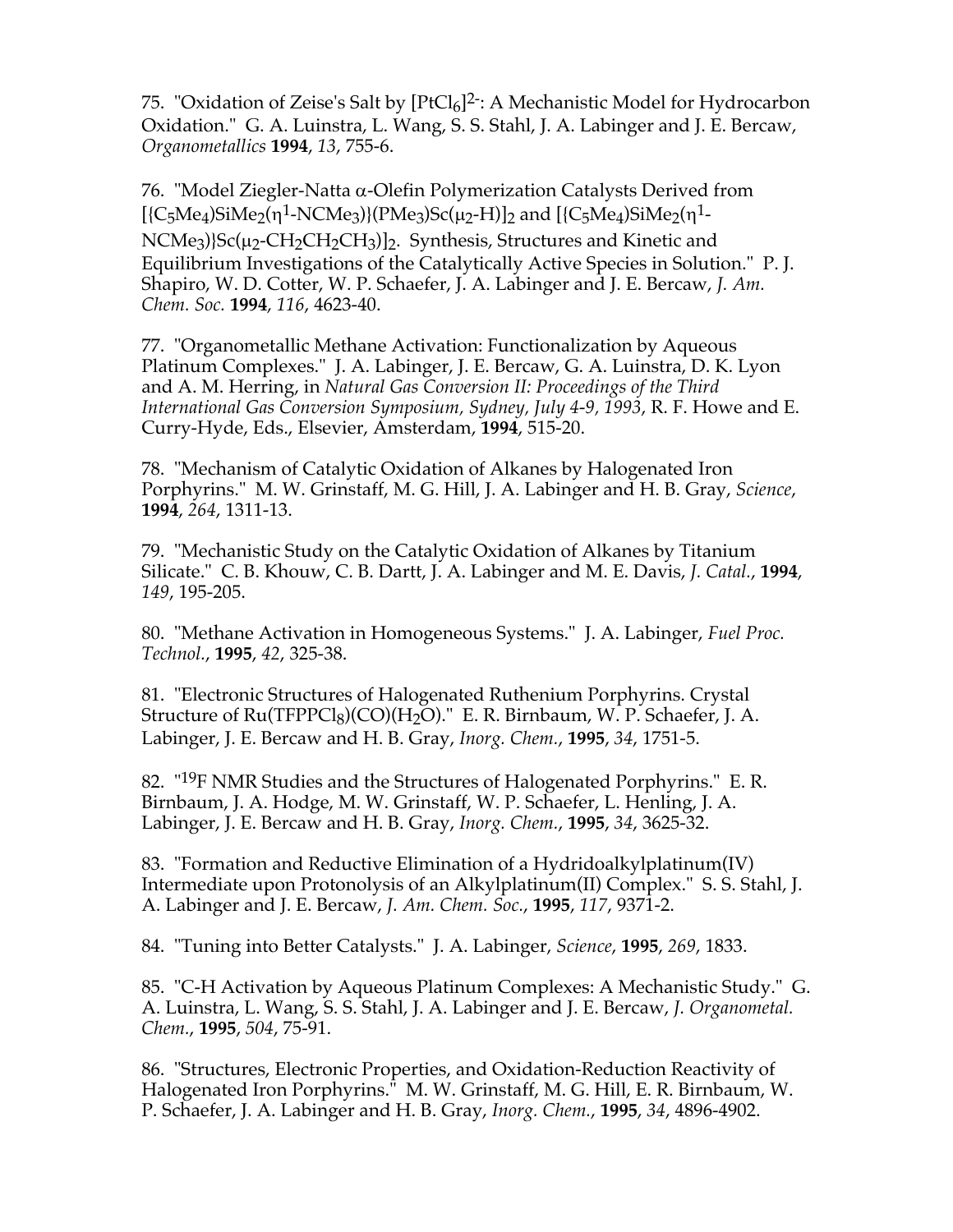75. "Oxidation of Zeise's Salt by  $[PtCl_6]^2$ : A Mechanistic Model for Hydrocarbon Oxidation." G. A. Luinstra, L. Wang, S. S. Stahl, J. A. Labinger and J. E. Bercaw, *Organometallics* **1994**, *13*, 755-6.

76. "Model Ziegler-Natta  $\alpha$ -Olefin Polymerization Catalysts Derived from  $[{C_5Me_4}SiMe_2(\eta^1-NCMe_3)](PMe_3)Sc(\mu_2-H)]_2$  and  $[{C_5Me_4}SiMe_2(\eta^1-P_3)$ NCMe<sub>3</sub>)}Sc(µ<sub>2</sub>-CH<sub>2</sub>CH<sub>2</sub>CH<sub>3</sub>)]<sub>2</sub>. Synthesis, Structures and Kinetic and Equilibrium Investigations of the Catalytically Active Species in Solution." P. J. Shapiro, W. D. Cotter, W. P. Schaefer, J. A. Labinger and J. E. Bercaw, *J. Am. Chem. Soc.* **1994**, *116*, 4623-40.

77. "Organometallic Methane Activation: Functionalization by Aqueous Platinum Complexes." J. A. Labinger, J. E. Bercaw, G. A. Luinstra, D. K. Lyon and A. M. Herring, in *Natural Gas Conversion II: Proceedings of the Third International Gas Conversion Symposium, Sydney, July 4-9, 1993*, R. F. Howe and E. Curry-Hyde, Eds., Elsevier, Amsterdam, **1994**, 515-20.

78. "Mechanism of Catalytic Oxidation of Alkanes by Halogenated Iron Porphyrins." M. W. Grinstaff, M. G. Hill, J. A. Labinger and H. B. Gray, *Science*, **1994**, *264*, 1311-13.

79. "Mechanistic Study on the Catalytic Oxidation of Alkanes by Titanium Silicate." C. B. Khouw, C. B. Dartt, J. A. Labinger and M. E. Davis, *J. Catal.*, **1994**, *149*, 195-205.

80. "Methane Activation in Homogeneous Systems." J. A. Labinger, *Fuel Proc. Technol.*, **1995**, *42*, 325-38.

81. "Electronic Structures of Halogenated Ruthenium Porphyrins. Crystal Structure of  $Ru(TFPPCl_8)(CO)(H_2O)$ ." E. R. Birnbaum, W. P. Schaefer, J. A. Labinger, J. E. Bercaw and H. B. Gray, *Inorg. Chem.*, **1995**, *34*, 1751-5.

82. "19F NMR Studies and the Structures of Halogenated Porphyrins." E. R. Birnbaum, J. A. Hodge, M. W. Grinstaff, W. P. Schaefer, L. Henling, J. A. Labinger, J. E. Bercaw and H. B. Gray, *Inorg. Chem.*, **1995**, *34*, 3625-32.

83. "Formation and Reductive Elimination of a Hydridoalkylplatinum(IV) Intermediate upon Protonolysis of an Alkylplatinum(II) Complex." S. S. Stahl, J. A. Labinger and J. E. Bercaw, *J. Am. Chem. Soc.*, **1995**, *117*, 9371-2.

84. "Tuning into Better Catalysts." J. A. Labinger, *Science*, **1995**, *269*, 1833.

85. "C-H Activation by Aqueous Platinum Complexes: A Mechanistic Study." G. A. Luinstra, L. Wang, S. S. Stahl, J. A. Labinger and J. E. Bercaw, *J. Organometal. Chem.*, **1995**, *504*, 75-91.

86. "Structures, Electronic Properties, and Oxidation-Reduction Reactivity of Halogenated Iron Porphyrins." M. W. Grinstaff, M. G. Hill, E. R. Birnbaum, W. P. Schaefer, J. A. Labinger and H. B. Gray, *Inorg. Chem.*, **1995**, *34*, 4896-4902.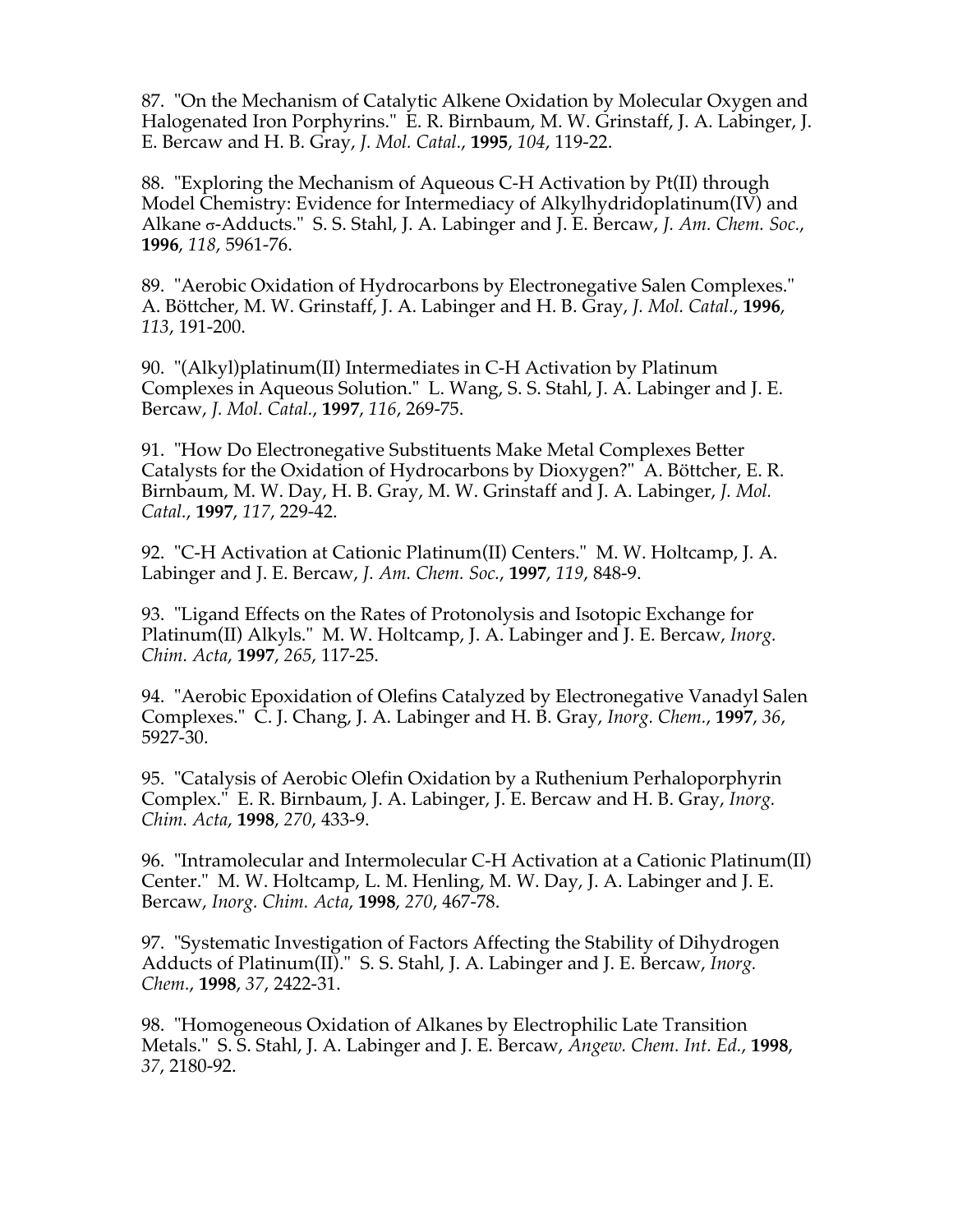87. "On the Mechanism of Catalytic Alkene Oxidation by Molecular Oxygen and Halogenated Iron Porphyrins." E. R. Birnbaum, M. W. Grinstaff, J. A. Labinger, J. E. Bercaw and H. B. Gray, *J. Mol. Catal.*, **1995**, *104*, 119-22.

88. "Exploring the Mechanism of Aqueous C-H Activation by Pt(II) through Model Chemistry: Evidence for Intermediacy of Alkylhydridoplatinum(IV) and Alkane σ-Adducts." S. S. Stahl, J. A. Labinger and J. E. Bercaw, *J. Am. Chem. Soc.*, **1996**, *118*, 5961-76.

89. "Aerobic Oxidation of Hydrocarbons by Electronegative Salen Complexes." A. Böttcher, M. W. Grinstaff, J. A. Labinger and H. B. Gray, *J. Mol. Catal.*, **1996**, *113*, 191-200.

90. "(Alkyl)platinum(II) Intermediates in C-H Activation by Platinum Complexes in Aqueous Solution." L. Wang, S. S. Stahl, J. A. Labinger and J. E. Bercaw, *J. Mol. Catal.*, **1997**, *116*, 269-75.

91. "How Do Electronegative Substituents Make Metal Complexes Better Catalysts for the Oxidation of Hydrocarbons by Dioxygen?" A. Böttcher, E. R. Birnbaum, M. W. Day, H. B. Gray, M. W. Grinstaff and J. A. Labinger, *J. Mol. Catal.*, **1997**, *117*, 229-42.

92. "C-H Activation at Cationic Platinum(II) Centers." M. W. Holtcamp, J. A. Labinger and J. E. Bercaw, *J. Am. Chem. Soc.*, **1997**, *119*, 848-9.

93. "Ligand Effects on the Rates of Protonolysis and Isotopic Exchange for Platinum(II) Alkyls." M. W. Holtcamp, J. A. Labinger and J. E. Bercaw, *Inorg. Chim. Acta*, **1997**, *265*, 117-25.

94. "Aerobic Epoxidation of Olefins Catalyzed by Electronegative Vanadyl Salen Complexes." C. J. Chang, J. A. Labinger and H. B. Gray, *Inorg. Chem.*, **1997**, *36*, 5927-30.

95. "Catalysis of Aerobic Olefin Oxidation by a Ruthenium Perhaloporphyrin Complex." E. R. Birnbaum, J. A. Labinger, J. E. Bercaw and H. B. Gray, *Inorg. Chim. Acta*, **1998**, *270*, 433-9.

96. "Intramolecular and Intermolecular C-H Activation at a Cationic Platinum(II) Center." M. W. Holtcamp, L. M. Henling, M. W. Day, J. A. Labinger and J. E. Bercaw, *Inorg. Chim. Acta*, **1998**, *270*, 467-78.

97. "Systematic Investigation of Factors Affecting the Stability of Dihydrogen Adducts of Platinum(II)." S. S. Stahl, J. A. Labinger and J. E. Bercaw, *Inorg. Chem.*, **1998**, *37*, 2422-31.

98. "Homogeneous Oxidation of Alkanes by Electrophilic Late Transition Metals." S. S. Stahl, J. A. Labinger and J. E. Bercaw, *Angew. Chem. Int. Ed.*, **1998**, *37*, 2180-92.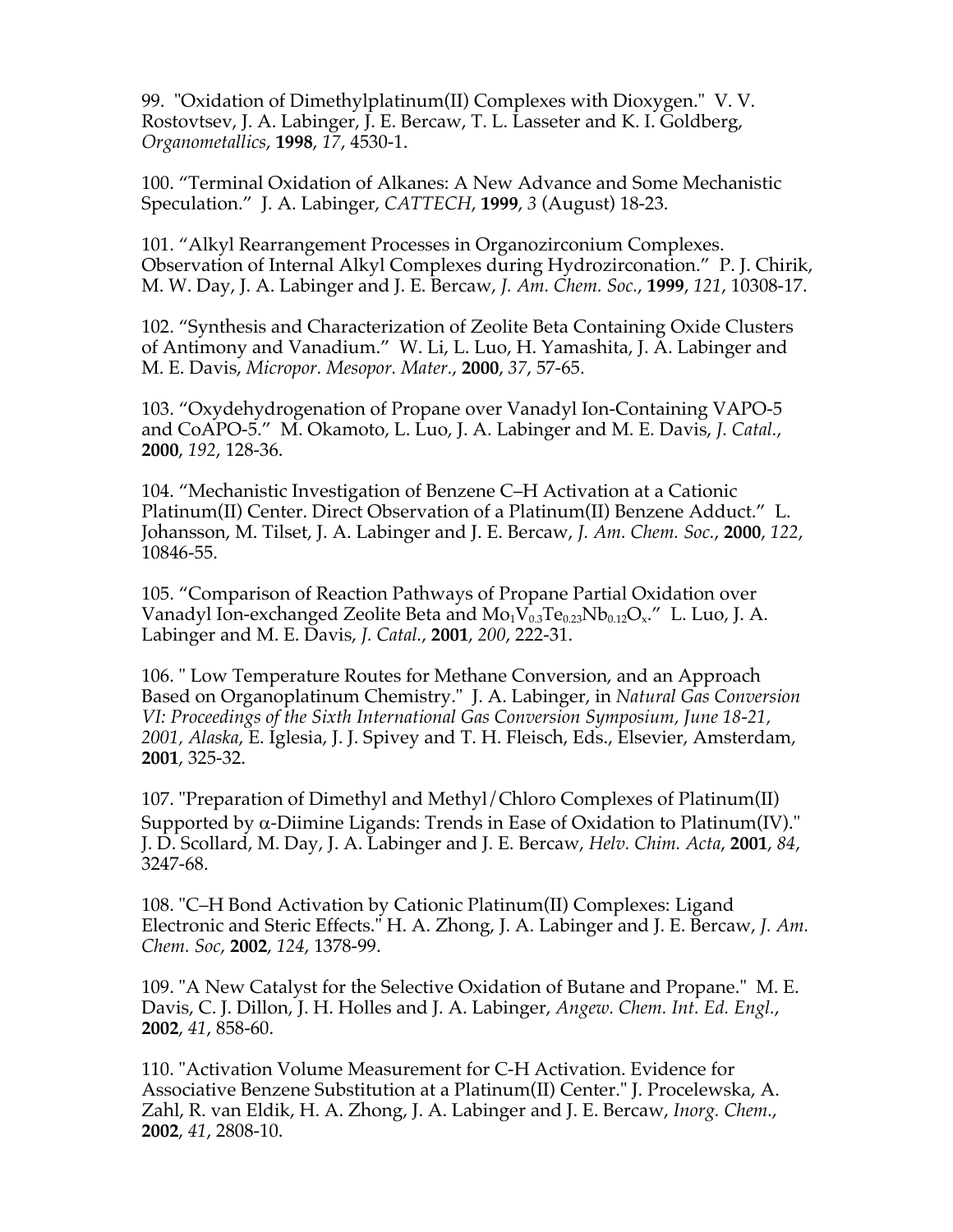99. "Oxidation of Dimethylplatinum(II) Complexes with Dioxygen." V. V. Rostovtsev, J. A. Labinger, J. E. Bercaw, T. L. Lasseter and K. I. Goldberg, *Organometallics*, **1998**, *17*, 4530-1.

100. "Terminal Oxidation of Alkanes: A New Advance and Some Mechanistic Speculation." J. A. Labinger, *CATTECH*, **1999**, *3* (August) 18-23.

101. "Alkyl Rearrangement Processes in Organozirconium Complexes. Observation of Internal Alkyl Complexes during Hydrozirconation." P. J. Chirik, M. W. Day, J. A. Labinger and J. E. Bercaw, *J. Am. Chem. Soc.*, **1999**, *121*, 10308-17.

102. "Synthesis and Characterization of Zeolite Beta Containing Oxide Clusters of Antimony and Vanadium." W. Li, L. Luo, H. Yamashita, J. A. Labinger and M. E. Davis, *Micropor. Mesopor. Mater.*, **2000**, *37*, 57-65.

103. "Oxydehydrogenation of Propane over Vanadyl Ion-Containing VAPO-5 and CoAPO-5." M. Okamoto, L. Luo, J. A. Labinger and M. E. Davis, *J. Catal.*, **2000**, *192*, 128-36.

104. "Mechanistic Investigation of Benzene C–H Activation at a Cationic Platinum(II) Center. Direct Observation of a Platinum(II) Benzene Adduct." L. Johansson, M. Tilset, J. A. Labinger and J. E. Bercaw, *J. Am. Chem. Soc.*, **2000**, *122*, 10846-55.

105. "Comparison of Reaction Pathways of Propane Partial Oxidation over Vanadyl Ion-exchanged Zeolite Beta and  $Mo_1V_{0.3}Te_{0.23}Nb_{0.12}O_x$ ." L. Luo, J. A. Labinger and M. E. Davis, *J. Catal.*, **2001**, *200*, 222-31.

106. " Low Temperature Routes for Methane Conversion, and an Approach Based on Organoplatinum Chemistry." J. A. Labinger, in *Natural Gas Conversion VI: Proceedings of the Sixth International Gas Conversion Symposium, June 18-21, 2001, Alaska*, E. Iglesia, J. J. Spivey and T. H. Fleisch, Eds., Elsevier, Amsterdam, **2001**, 325-32.

107. "Preparation of Dimethyl and Methyl/Chloro Complexes of Platinum(II) Supported by  $\alpha$ -Diimine Ligands: Trends in Ease of Oxidation to Platinum(IV)." J. D. Scollard, M. Day, J. A. Labinger and J. E. Bercaw, *Helv. Chim. Acta*, **2001**, *84*, 3247-68.

108. "C–H Bond Activation by Cationic Platinum(II) Complexes: Ligand Electronic and Steric Effects." H. A. Zhong, J. A. Labinger and J. E. Bercaw, *J. Am. Chem. Soc*, **2002**, *124*, 1378-99.

109. "A New Catalyst for the Selective Oxidation of Butane and Propane." M. E. Davis, C. J. Dillon, J. H. Holles and J. A. Labinger, *Angew. Chem. Int. Ed. Engl.*, **2002**, *41*, 858-60.

110. "Activation Volume Measurement for C-H Activation. Evidence for Associative Benzene Substitution at a Platinum(II) Center." J. Procelewska, A. Zahl, R. van Eldik, H. A. Zhong, J. A. Labinger and J. E. Bercaw, *Inorg. Chem.*, **2002**, *41*, 2808-10.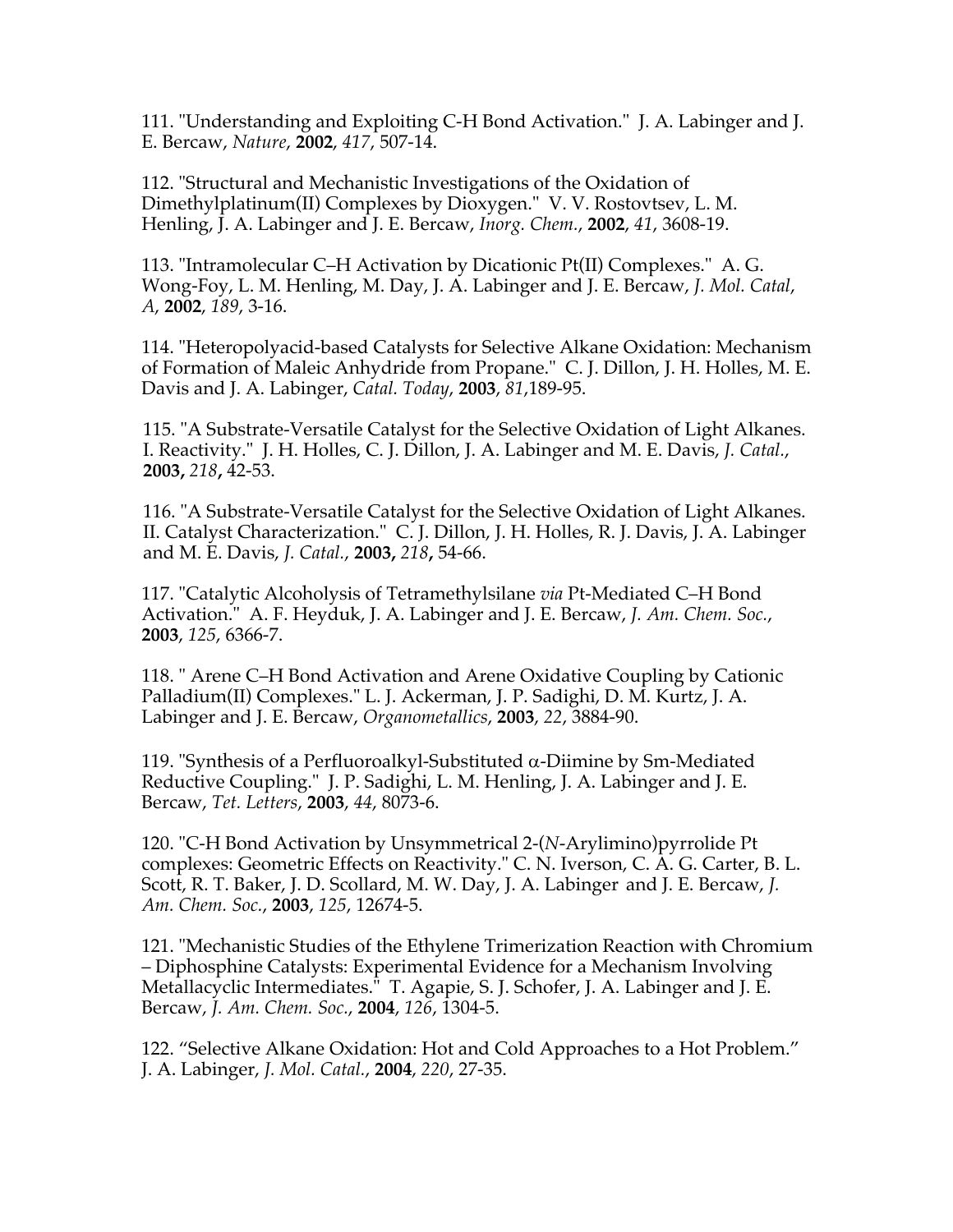111. "Understanding and Exploiting C-H Bond Activation." J. A. Labinger and J. E. Bercaw, *Nature*, **2002**, *417*, 507-14.

112. "Structural and Mechanistic Investigations of the Oxidation of Dimethylplatinum(II) Complexes by Dioxygen." V. V. Rostovtsev, L. M. Henling, J. A. Labinger and J. E. Bercaw, *Inorg. Chem.*, **2002**, *41*, 3608-19.

113. "Intramolecular C–H Activation by Dicationic Pt(II) Complexes." A. G. Wong-Foy, L. M. Henling, M. Day, J. A. Labinger and J. E. Bercaw, *J. Mol. Catal*, *A*, **2002**, *189*, 3-16.

114. "Heteropolyacid-based Catalysts for Selective Alkane Oxidation: Mechanism of Formation of Maleic Anhydride from Propane." C. J. Dillon, J. H. Holles, M. E. Davis and J. A. Labinger, *Catal. Today*, **2003**, *81*,189-95.

115. "A Substrate-Versatile Catalyst for the Selective Oxidation of Light Alkanes. I. Reactivity." J. H. Holles, C. J. Dillon, J. A. Labinger and M. E. Davis, *J. Catal.*, **2003,** *218***,** 42-53.

116. "A Substrate-Versatile Catalyst for the Selective Oxidation of Light Alkanes. II. Catalyst Characterization." C. J. Dillon, J. H. Holles, R. J. Davis, J. A. Labinger and M. E. Davis, *J. Catal.*, **2003,** *218***,** 54-66.

117. "Catalytic Alcoholysis of Tetramethylsilane *via* Pt-Mediated C–H Bond Activation." A. F. Heyduk, J. A. Labinger and J. E. Bercaw, *J. Am. Chem. Soc.*, **2003**, *125*, 6366-7.

118. " Arene C–H Bond Activation and Arene Oxidative Coupling by Cationic Palladium(II) Complexes." L. J. Ackerman, J. P. Sadighi, D. M. Kurtz, J. A. Labinger and J. E. Bercaw, *Organometallics*, **2003**, *22*, 3884-90.

119. "Synthesis of a Perfluoroalkyl-Substituted  $\alpha$ -Diimine by Sm-Mediated Reductive Coupling." J. P. Sadighi, L. M. Henling, J. A. Labinger and J. E. Bercaw, *Tet. Letters*, **2003**, *44*, 8073-6.

120. "C-H Bond Activation by Unsymmetrical 2-(*N*-Arylimino)pyrrolide Pt complexes: Geometric Effects on Reactivity." C. N. Iverson, C. A. G. Carter, B. L. Scott, R. T. Baker, J. D. Scollard, M. W. Day, J. A. Labinger and J. E. Bercaw, *J. Am. Chem. Soc.*, **2003**, *125*, 12674-5.

121. "Mechanistic Studies of the Ethylene Trimerization Reaction with Chromium – Diphosphine Catalysts: Experimental Evidence for a Mechanism Involving Metallacyclic Intermediates." T. Agapie, S. J. Schofer, J. A. Labinger and J. E. Bercaw, *J. Am. Chem. Soc.*, **2004**, *126*, 1304-5.

122. "Selective Alkane Oxidation: Hot and Cold Approaches to a Hot Problem." J. A. Labinger, *J. Mol. Catal.*, **2004**, *220*, 27-35.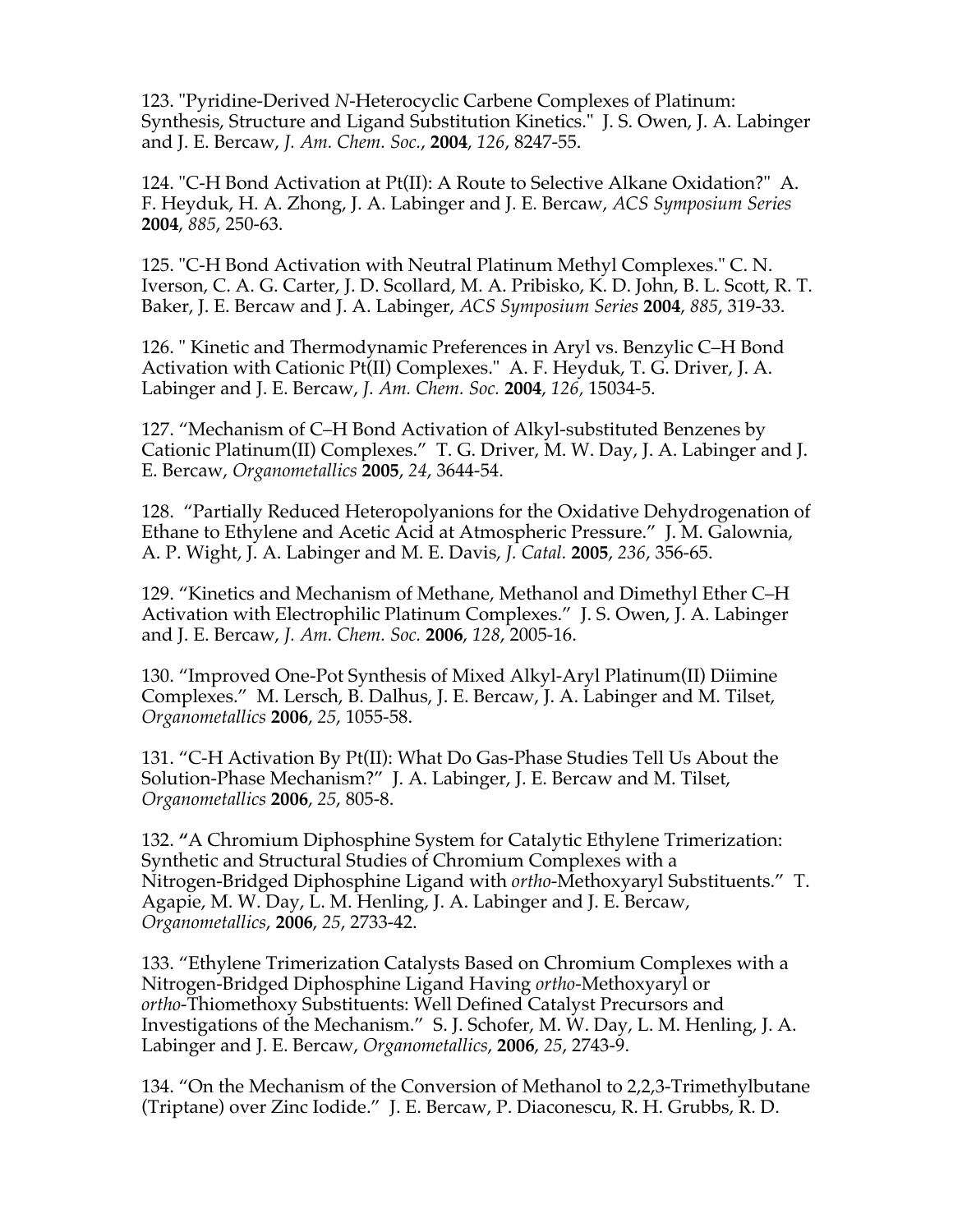123. "Pyridine-Derived *N*-Heterocyclic Carbene Complexes of Platinum: Synthesis, Structure and Ligand Substitution Kinetics." J. S. Owen, J. A. Labinger and J. E. Bercaw, *J. Am. Chem. Soc.*, **2004**, *126*, 8247-55.

124. "C-H Bond Activation at Pt(II): A Route to Selective Alkane Oxidation?" A. F. Heyduk, H. A. Zhong, J. A. Labinger and J. E. Bercaw, *ACS Symposium Series* **2004**, *885*, 250-63.

125. "C-H Bond Activation with Neutral Platinum Methyl Complexes." C. N. Iverson, C. A. G. Carter, J. D. Scollard, M. A. Pribisko, K. D. John, B. L. Scott, R. T. Baker, J. E. Bercaw and J. A. Labinger, *ACS Symposium Series* **2004**, *885*, 319-33.

126. " Kinetic and Thermodynamic Preferences in Aryl vs. Benzylic C–H Bond Activation with Cationic Pt(II) Complexes." A. F. Heyduk, T. G. Driver, J. A. Labinger and J. E. Bercaw, *J. Am. Chem. Soc.* **2004**, *126,* 15034-5.

127. "Mechanism of C–H Bond Activation of Alkyl-substituted Benzenes by Cationic Platinum(II) Complexes." T. G. Driver, M. W. Day, J. A. Labinger and J. E. Bercaw, *Organometallics* **2005**, *24*, 3644-54.

128. "Partially Reduced Heteropolyanions for the Oxidative Dehydrogenation of Ethane to Ethylene and Acetic Acid at Atmospheric Pressure." J. M. Galownia, A. P. Wight, J. A. Labinger and M. E. Davis, *J. Catal.* **2005**, *236*, 356-65.

129. "Kinetics and Mechanism of Methane, Methanol and Dimethyl Ether C–H Activation with Electrophilic Platinum Complexes." J. S. Owen, J. A. Labinger and J. E. Bercaw, *J. Am. Chem. Soc.* **2006**, *128*, 2005-16.

130. "Improved One-Pot Synthesis of Mixed Alkyl-Aryl Platinum(II) Diimine Complexes." M. Lersch, B. Dalhus, J. E. Bercaw, J. A. Labinger and M. Tilset, *Organometallics* **2006**, *25*, 1055-58.

131. "C-H Activation By Pt(II): What Do Gas-Phase Studies Tell Us About the Solution-Phase Mechanism?" J. A. Labinger, J. E. Bercaw and M. Tilset, *Organometallics* **2006**, *25*, 805-8.

132. **"**A Chromium Diphosphine System for Catalytic Ethylene Trimerization: Synthetic and Structural Studies of Chromium Complexes with a Nitrogen-Bridged Diphosphine Ligand with *ortho*-Methoxyaryl Substituents." T. Agapie, M. W. Day, L. M. Henling, J. A. Labinger and J. E. Bercaw, *Organometallics*, **2006**, *25*, 2733-42.

133. "Ethylene Trimerization Catalysts Based on Chromium Complexes with a Nitrogen-Bridged Diphosphine Ligand Having *ortho*-Methoxyaryl or *ortho-*Thiomethoxy Substituents: Well Defined Catalyst Precursors and Investigations of the Mechanism." S. J. Schofer, M. W. Day, L. M. Henling, J. A. Labinger and J. E. Bercaw, *Organometallics*, **2006**, *25*, 2743-9.

134. "On the Mechanism of the Conversion of Methanol to 2,2,3-Trimethylbutane (Triptane) over Zinc Iodide." J. E. Bercaw, P. Diaconescu, R. H. Grubbs, R. D.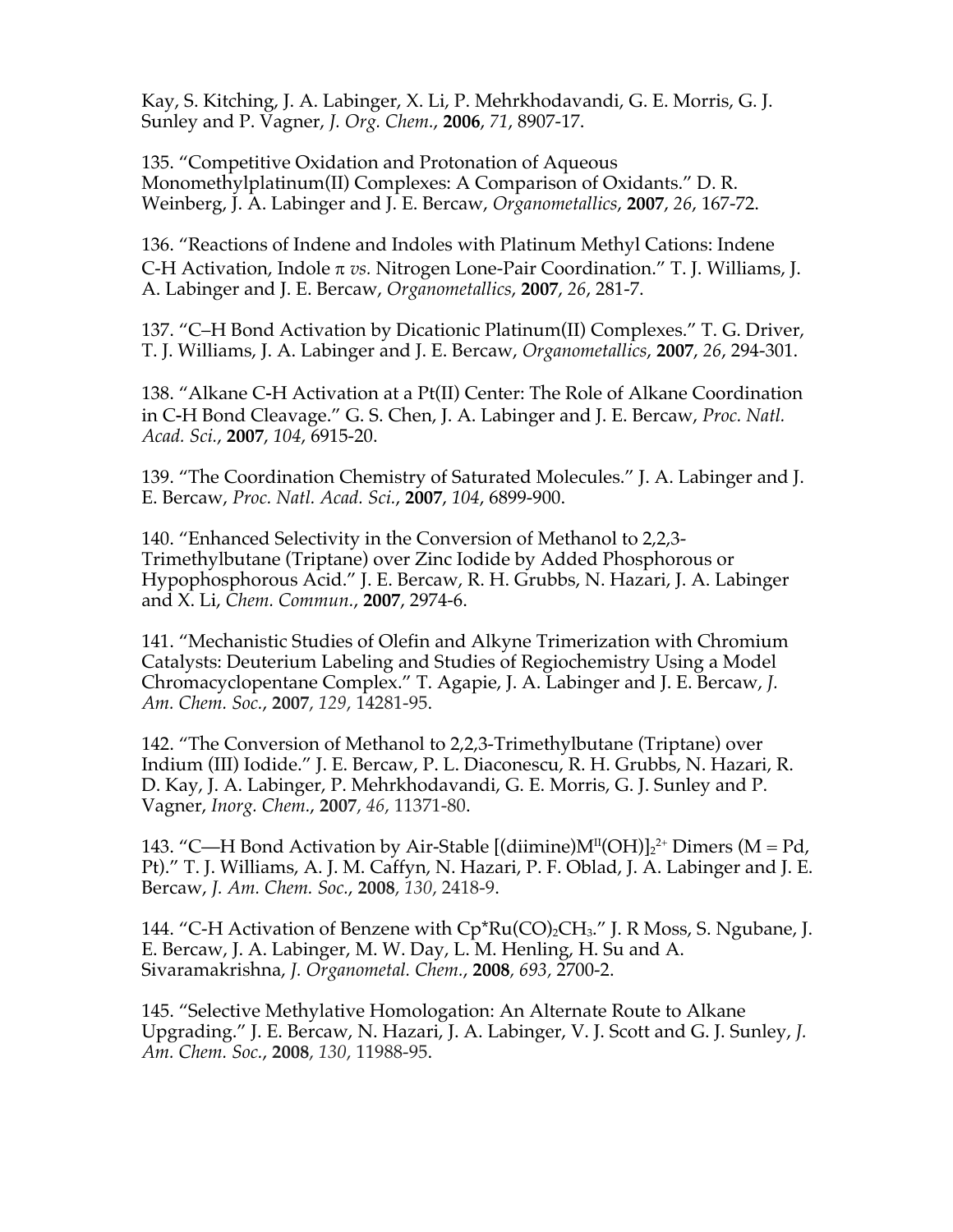Kay, S. Kitching, J. A. Labinger, X. Li, P. Mehrkhodavandi, G. E. Morris, G. J. Sunley and P. Vagner, *J. Org. Chem.*, **2006**, *71*, 8907-17.

135. "Competitive Oxidation and Protonation of Aqueous Monomethylplatinum(II) Complexes: A Comparison of Oxidants." D. R. Weinberg, J. A. Labinger and J. E. Bercaw, *Organometallics*, **2007**, *26*, 167-72.

136. "Reactions of Indene and Indoles with Platinum Methyl Cations: Indene C-H Activation, Indole  $\pi$  *vs.* Nitrogen Lone-Pair Coordination." T. J. Williams, J. A. Labinger and J. E. Bercaw, *Organometallics*, **2007**, *26*, 281-7.

137. "C–H Bond Activation by Dicationic Platinum(II) Complexes." T. G. Driver, T. J. Williams, J. A. Labinger and J. E. Bercaw, *Organometallics*, **2007**, *26*, 294-301.

138. "Alkane C-H Activation at a Pt(II) Center: The Role of Alkane Coordination in C-H Bond Cleavage." G. S. Chen, J. A. Labinger and J. E. Bercaw, *Proc. Natl. Acad. Sci.*, **2007**, *104*, 6915-20.

139. "The Coordination Chemistry of Saturated Molecules." J. A. Labinger and J. E. Bercaw, *Proc. Natl. Acad. Sci.*, **2007**, *104*, 6899-900.

140. "Enhanced Selectivity in the Conversion of Methanol to 2,2,3- Trimethylbutane (Triptane) over Zinc Iodide by Added Phosphorous or Hypophosphorous Acid." J. E. Bercaw, R. H. Grubbs, N. Hazari, J. A. Labinger and X. Li, *Chem. Commun.*, **2007**, 2974-6.

141. "Mechanistic Studies of Olefin and Alkyne Trimerization with Chromium Catalysts: Deuterium Labeling and Studies of Regiochemistry Using a Model Chromacyclopentane Complex." T. Agapie, J. A. Labinger and J. E. Bercaw, *J. Am. Chem. Soc.*, **2007**, *129*, 14281-95.

142. "The Conversion of Methanol to 2,2,3-Trimethylbutane (Triptane) over Indium (III) Iodide." J. E. Bercaw, P. L. Diaconescu, R. H. Grubbs, N. Hazari, R. D. Kay, J. A. Labinger, P. Mehrkhodavandi, G. E. Morris, G. J. Sunley and P. Vagner, *Inorg. Chem.*, **2007**, *46*, 11371-80.

143. "C—H Bond Activation by Air-Stable [(diimine) $M^{II}(OH)$ ]<sub>2</sub><sup>2+</sup> Dimers (M = Pd, Pt)." T. J. Williams, A. J. M. Caffyn, N. Hazari, P. F. Oblad, J. A. Labinger and J. E. Bercaw, *J. Am. Chem. Soc.*, **2008**, *130*, 2418-9.

144. "C-H Activation of Benzene with  $Cp*Ru(CO)_2CH_3$ ." J. R Moss, S. Ngubane, J. E. Bercaw, J. A. Labinger, M. W. Day, L. M. Henling, H. Su and A. Sivaramakrishna, *J. Organometal. Chem.*, **2008***, 693,* 2700-2.

145. "Selective Methylative Homologation: An Alternate Route to Alkane Upgrading." J. E. Bercaw, N. Hazari, J. A. Labinger, V. J. Scott and G. J. Sunley, *J. Am. Chem. Soc.*, **2008**, *130*, 11988-95.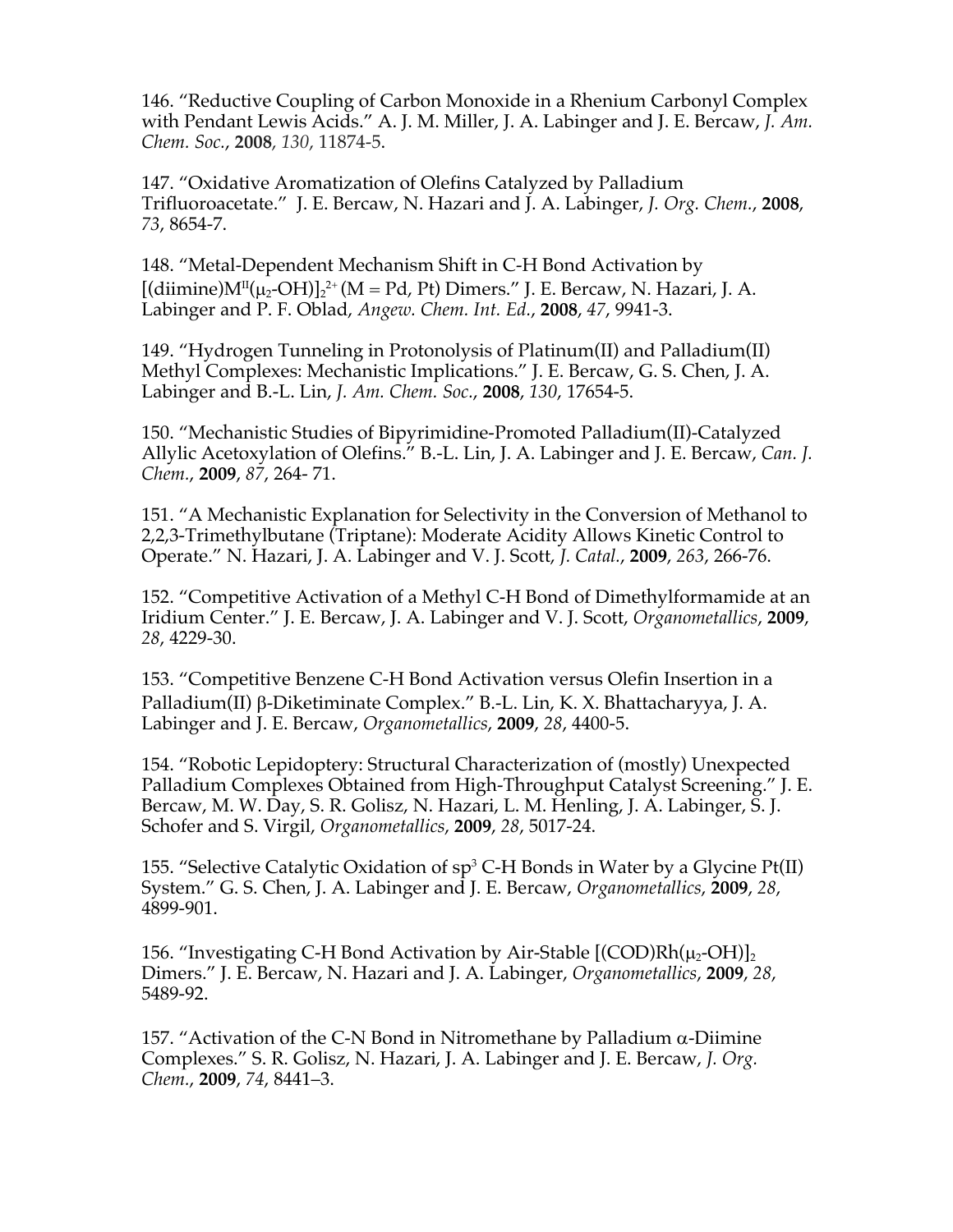146. "Reductive Coupling of Carbon Monoxide in a Rhenium Carbonyl Complex with Pendant Lewis Acids." A. J. M. Miller, J. A. Labinger and J. E. Bercaw, *J. Am. Chem. Soc.*, **2008**, *130*, 11874-5.

147. "Oxidative Aromatization of Olefins Catalyzed by Palladium Trifluoroacetate." J. E. Bercaw, N. Hazari and J. A. Labinger, *J. Org. Chem.*, **2008**, *73*, 8654-7.

148. "Metal-Dependent Mechanism Shift in C-H Bond Activation by [(diimine) $M^{II}(\mu_2\text{-}OH)$ ]<sub>2</sub><sup>2+</sup> (M = Pd, Pt) Dimers." J. E. Bercaw, N. Hazari, J. A. Labinger and P. F. Oblad, *Angew. Chem. Int. Ed.*, **2008**, *47*, 9941-3.

149. "Hydrogen Tunneling in Protonolysis of Platinum(II) and Palladium(II) Methyl Complexes: Mechanistic Implications." J. E. Bercaw, G. S. Chen, J. A. Labinger and B.-L. Lin, *J. Am. Chem. Soc.*, **2008**, *130*, 17654-5.

150. "Mechanistic Studies of Bipyrimidine-Promoted Palladium(II)-Catalyzed Allylic Acetoxylation of Olefins." B.-L. Lin, J. A. Labinger and J. E. Bercaw, *Can. J. Chem.*, **2009**, *87*, 264- 71.

151. "A Mechanistic Explanation for Selectivity in the Conversion of Methanol to 2,2,3-Trimethylbutane (Triptane): Moderate Acidity Allows Kinetic Control to Operate." N. Hazari, J. A. Labinger and V. J. Scott, *J. Catal.*, **2009**, *263*, 266-76.

152. "Competitive Activation of a Methyl C-H Bond of Dimethylformamide at an Iridium Center." J. E. Bercaw, J. A. Labinger and V. J. Scott, *Organometallics*, **2009**, *28*, 4229-30.

153. "Competitive Benzene C-H Bond Activation versus Olefin Insertion in a Palladium(II) β-Diketiminate Complex." B.-L. Lin, K. X. Bhattacharyya, J. A. Labinger and J. E. Bercaw, *Organometallics*, **2009**, *28*, 4400-5.

154. "Robotic Lepidoptery: Structural Characterization of (mostly) Unexpected Palladium Complexes Obtained from High-Throughput Catalyst Screening." J. E. Bercaw, M. W. Day, S. R. Golisz, N. Hazari, L. M. Henling, J. A. Labinger, S. J. Schofer and S. Virgil, *Organometallics*, **2009**, *28*, 5017-24.

155. "Selective Catalytic Oxidation of  $sp^3$  C-H Bonds in Water by a Glycine Pt(II) System." G. S. Chen, J. A. Labinger and J. E. Bercaw, *Organometallics*, **2009**, *28*, 4899-901.

156. "Investigating C-H Bond Activation by Air-Stable  $[(\text{COD})\text{Rh}(\mu_2\text{-OH})]_2$ Dimers." J. E. Bercaw, N. Hazari and J. A. Labinger, *Organometallics*, **2009**, *28*, 5489-92.

157. "Activation of the C-N Bond in Nitromethane by Palladium  $\alpha$ -Diimine Complexes." S. R. Golisz, N. Hazari, J. A. Labinger and J. E. Bercaw, *J. Org. Chem.*, **2009**, *74*, 8441–3.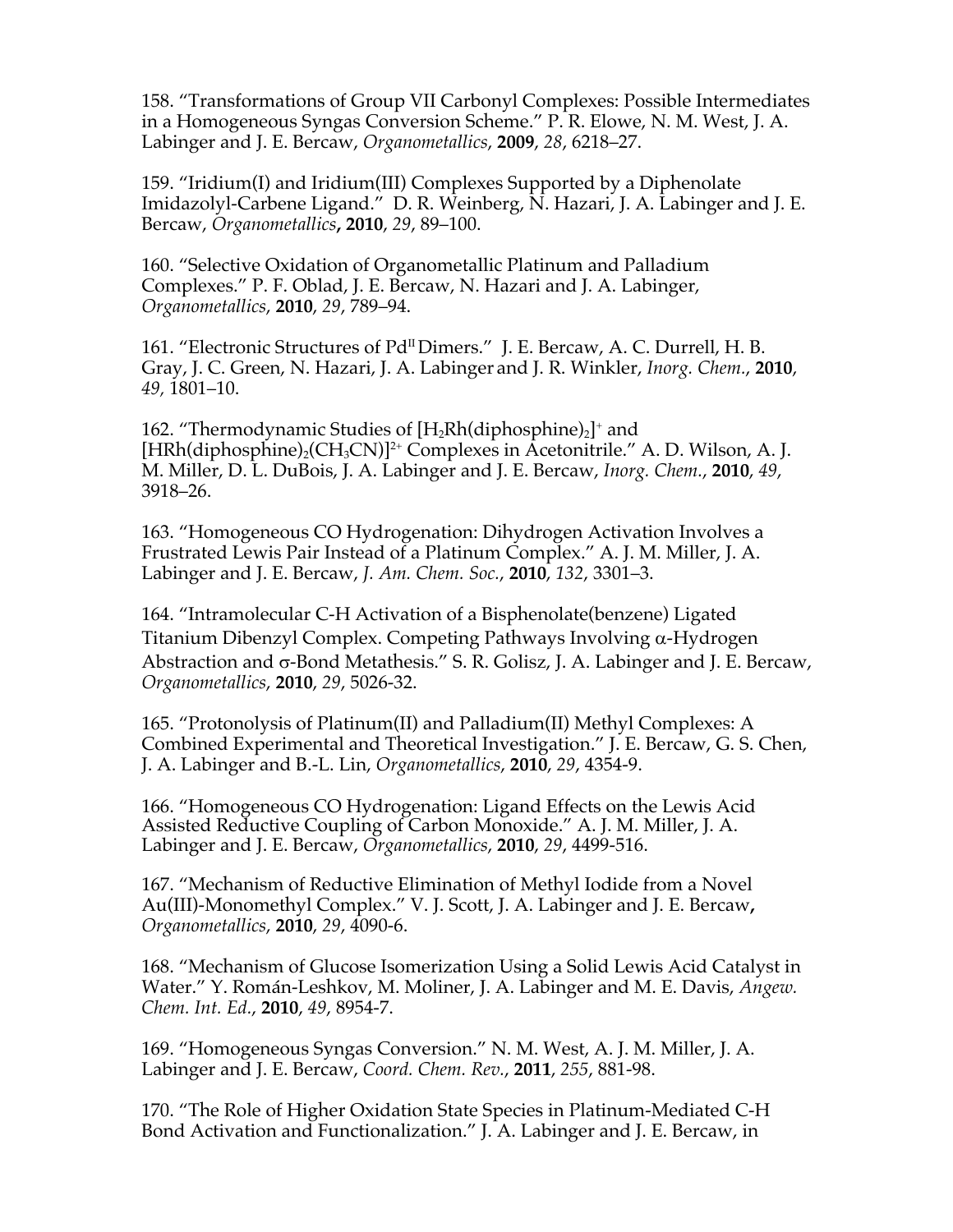158. "Transformations of Group VII Carbonyl Complexes: Possible Intermediates in a Homogeneous Syngas Conversion Scheme." P. R. Elowe, N. M. West, J. A. Labinger and J. E. Bercaw, *Organometallics*, **2009**, *28*, 6218–27.

159. "Iridium(I) and Iridium(III) Complexes Supported by a Diphenolate Imidazolyl-Carbene Ligand." D. R. Weinberg, N. Hazari, J. A. Labinger and J. E. Bercaw, *Organometallics***, 2010**, *29*, 89–100.

160. "Selective Oxidation of Organometallic Platinum and Palladium Complexes." P. F. Oblad, J. E. Bercaw, N. Hazari and J. A. Labinger, *Organometallics*, **2010**, *29*, 789–94.

161. "Electronic Structures of Pd<sup>II</sup> Dimers." J. E. Bercaw, A. C. Durrell, H. B. Gray, J. C. Green, N. Hazari, J. A. Labinger and J. R. Winkler, *Inorg. Chem.*, **2010**, *49,* 1801–10.

162. "Thermodynamic Studies of  $[H_2Rh(diphosphine)_2]^+$  and  $[HRh(diphosphine)_{2}(CH_{3}CN)]^{2+}$  Complexes in Acetonitrile." A. D. Wilson, A. J. M. Miller, D. L. DuBois, J. A. Labinger and J. E. Bercaw, *Inorg. Chem.*, **2010**, *49*, 3918–26.

163. "Homogeneous CO Hydrogenation: Dihydrogen Activation Involves a Frustrated Lewis Pair Instead of a Platinum Complex." A. J. M. Miller, J. A. Labinger and J. E. Bercaw, *J. Am. Chem. Soc.*, **2010**, *132*, 3301–3.

164. "Intramolecular C-H Activation of a Bisphenolate(benzene) Ligated Titanium Dibenzyl Complex. Competing Pathways Involving  $\alpha$ -Hydrogen Abstraction and  $\sigma$ -Bond Metathesis." S. R. Golisz, J. A. Labinger and J. E. Bercaw, *Organometallics*, **2010**, *29*, 5026-32.

165. "Protonolysis of Platinum(II) and Palladium(II) Methyl Complexes: A Combined Experimental and Theoretical Investigation." J. E. Bercaw, G. S. Chen, J. A. Labinger and B.-L. Lin, *Organometallics*, **2010**, *29*, 4354-9.

166. "Homogeneous CO Hydrogenation: Ligand Effects on the Lewis Acid Assisted Reductive Coupling of Carbon Monoxide." A. J. M. Miller, J. A. Labinger and J. E. Bercaw, *Organometallics*, **2010**, *29*, 4499-516.

167. "Mechanism of Reductive Elimination of Methyl Iodide from a Novel Au(III)-Monomethyl Complex." V. J. Scott, J. A. Labinger and J. E. Bercaw**,**  *Organometallics*, **2010**, *29*, 4090-6.

168. "Mechanism of Glucose Isomerization Using a Solid Lewis Acid Catalyst in Water." Y. Román-Leshkov, M. Moliner, J. A. Labinger and M. E. Davis, *Angew. Chem. Int. Ed.*, **2010**, *49*, 8954-7.

169. "Homogeneous Syngas Conversion." N. M. West, A. J. M. Miller, J. A. Labinger and J. E. Bercaw, *Coord. Chem. Rev.*, **2011**, *255*, 881-98.

170. "The Role of Higher Oxidation State Species in Platinum-Mediated C-H Bond Activation and Functionalization." J. A. Labinger and J. E. Bercaw, in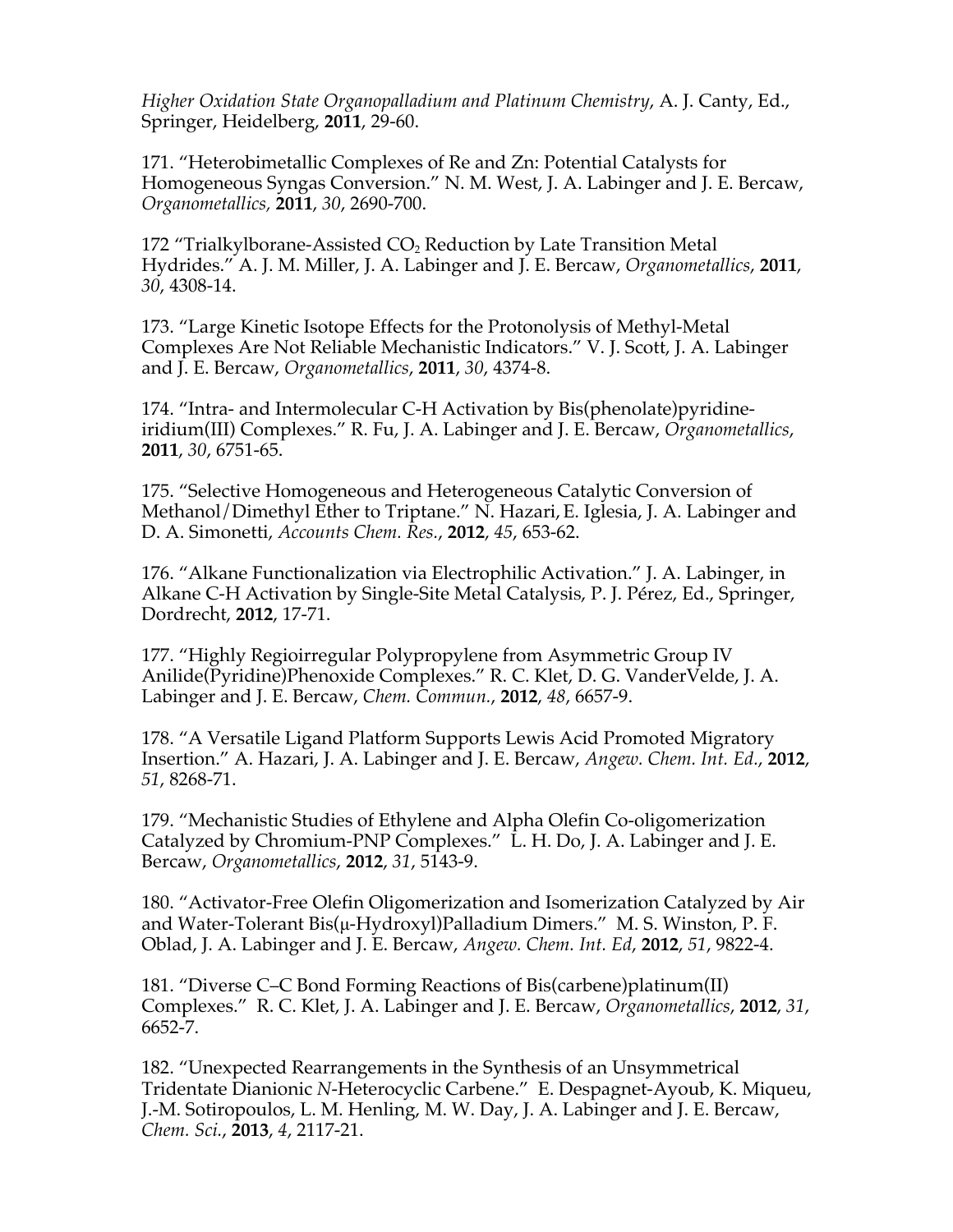*Higher Oxidation State Organopalladium and Platinum Chemistry*, A. J. Canty, Ed., Springer, Heidelberg, **2011**, 29-60.

171. "Heterobimetallic Complexes of Re and Zn: Potential Catalysts for Homogeneous Syngas Conversion." N. M. West, J. A. Labinger and J. E. Bercaw, *Organometallics,* **2011**, *30*, 2690-700.

172 "Trialkylborane-Assisted  $CO<sub>2</sub>$  Reduction by Late Transition Metal Hydrides." A. J. M. Miller, J. A. Labinger and J. E. Bercaw, *Organometallics*, **2011**, *30*, 4308-14.

173. "Large Kinetic Isotope Effects for the Protonolysis of Methyl-Metal Complexes Are Not Reliable Mechanistic Indicators." V. J. Scott, J. A. Labinger and J. E. Bercaw, *Organometallics*, **2011**, *30*, 4374-8.

174. "Intra- and Intermolecular C-H Activation by Bis(phenolate)pyridineiridium(III) Complexes." R. Fu, J. A. Labinger and J. E. Bercaw, *Organometallics*, **2011**, *30*, 6751-65.

175. "Selective Homogeneous and Heterogeneous Catalytic Conversion of Methanol/Dimethyl Ether to Triptane." N. Hazari,E. Iglesia, J. A. Labinger and D. A. Simonetti, *Accounts Chem. Res.*, **2012**, *45*, 653-62.

176. "Alkane Functionalization via Electrophilic Activation." J. A. Labinger, in Alkane C-H Activation by Single-Site Metal Catalysis, P. J. Pérez, Ed., Springer, Dordrecht, **2012**, 17-71.

177. "Highly Regioirregular Polypropylene from Asymmetric Group IV Anilide(Pyridine)Phenoxide Complexes." R. C. Klet, D. G. VanderVelde, J. A. Labinger and J. E. Bercaw, *Chem. Commun.*, **2012**, *48*, 6657-9.

178. "A Versatile Ligand Platform Supports Lewis Acid Promoted Migratory Insertion." A. Hazari, J. A. Labinger and J. E. Bercaw, *Angew. Chem. Int. Ed.*, **2012**, *51*, 8268-71.

179. "Mechanistic Studies of Ethylene and Alpha Olefin Co-oligomerization Catalyzed by Chromium-PNP Complexes." L. H. Do, J. A. Labinger and J. E. Bercaw, *Organometallics*, **2012**, *31*, 5143-9.

180. "Activator-Free Olefin Oligomerization and Isomerization Catalyzed by Air and Water-Tolerant Bis(μ-Hydroxyl)Palladium Dimers." M. S. Winston, P. F. Oblad, J. A. Labinger and J. E. Bercaw, *Angew. Chem. Int. Ed*, **2012**, *51*, 9822-4.

181. "Diverse C–C Bond Forming Reactions of Bis(carbene)platinum(II) Complexes." R. C. Klet, J. A. Labinger and J. E. Bercaw, *Organometallics*, **2012**, *31*, 6652-7.

182. "Unexpected Rearrangements in the Synthesis of an Unsymmetrical Tridentate Dianionic *N*-Heterocyclic Carbene." E. Despagnet-Ayoub, K. Miqueu, J.-M. Sotiropoulos, L. M. Henling, M. W. Day, J. A. Labinger and J. E. Bercaw, *Chem. Sci.*, **2013**, *4*, 2117-21.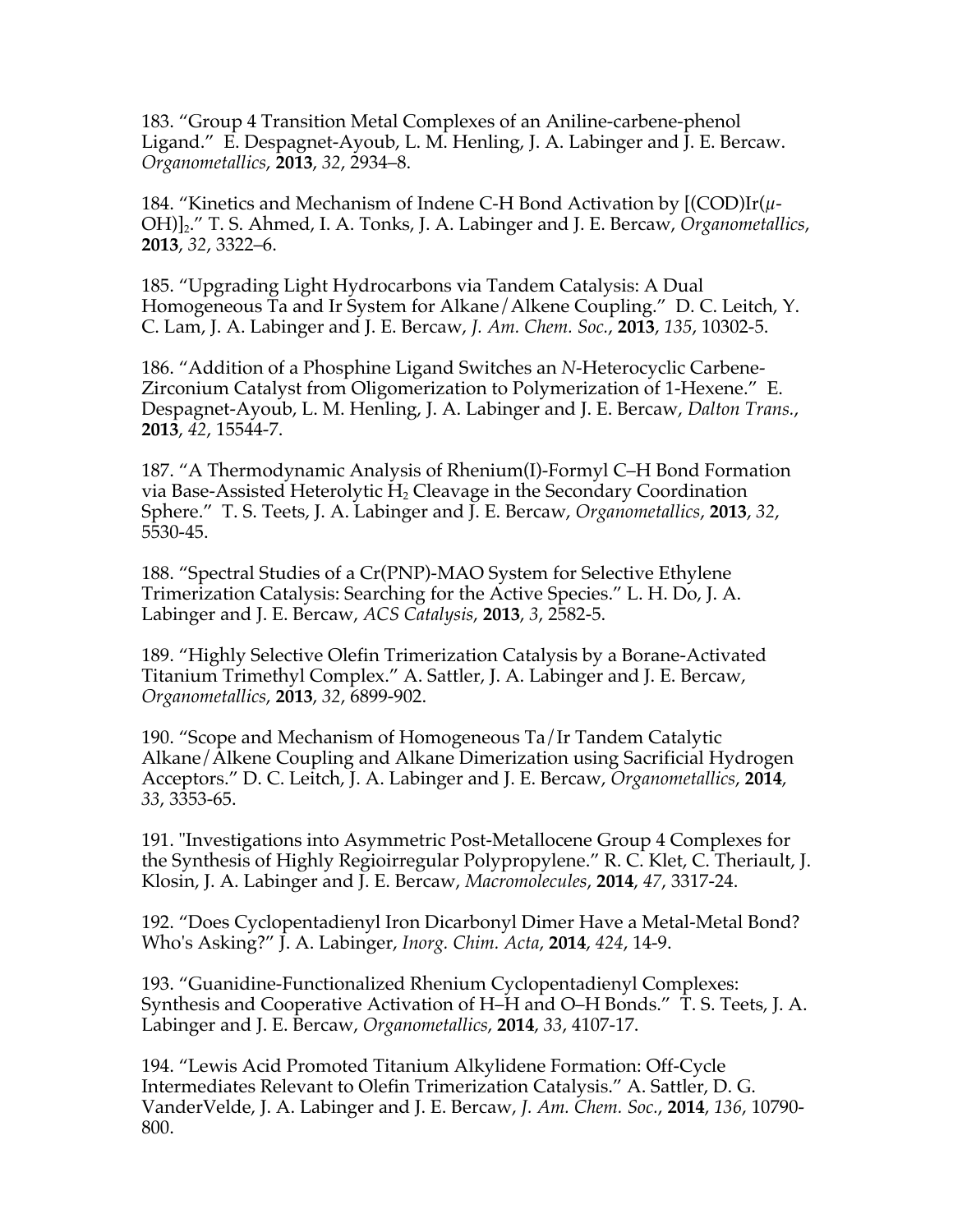183. "Group 4 Transition Metal Complexes of an Aniline-carbene-phenol Ligand." E. Despagnet-Ayoub, L. M. Henling, J. A. Labinger and J. E. Bercaw. *Organometallics*, **2013**, *32*, 2934–8.

184. "Kinetics and Mechanism of Indene C-H Bond Activation by [(COD)Ir(*µ*-OH)]2." T. S. Ahmed, I. A. Tonks, J. A. Labinger and J. E. Bercaw, *Organometallics*, **2013**, *32*, 3322–6.

185. "Upgrading Light Hydrocarbons via Tandem Catalysis: A Dual Homogeneous Ta and Ir System for Alkane/Alkene Coupling." D. C. Leitch, Y. C. Lam, J. A. Labinger and J. E. Bercaw, *J. Am. Chem. Soc.*, **2013**, *135*, 10302-5.

186. "Addition of a Phosphine Ligand Switches an *N*-Heterocyclic Carbene-Zirconium Catalyst from Oligomerization to Polymerization of 1-Hexene." E. Despagnet-Ayoub, L. M. Henling, J. A. Labinger and J. E. Bercaw, *Dalton Trans.*, **2013**, *42*, 15544-7.

187. "A Thermodynamic Analysis of Rhenium(I)-Formyl C–H Bond Formation via Base-Assisted Heterolytic  $H_2$  Cleavage in the Secondary Coordination Sphere." T. S. Teets, J. A. Labinger and J. E. Bercaw, *Organometallics*, **2013**, *32*, 5530-45.

188. "Spectral Studies of a Cr(PNP)-MAO System for Selective Ethylene Trimerization Catalysis: Searching for the Active Species." L. H. Do, J. A. Labinger and J. E. Bercaw, *ACS Catalysis*, **2013**, *3*, 2582-5.

189. "Highly Selective Olefin Trimerization Catalysis by a Borane-Activated Titanium Trimethyl Complex." A. Sattler, J. A. Labinger and J. E. Bercaw, *Organometallics*, **2013**, *32*, 6899-902.

190. "Scope and Mechanism of Homogeneous Ta/Ir Tandem Catalytic Alkane/Alkene Coupling and Alkane Dimerization using Sacrificial Hydrogen Acceptors." D. C. Leitch, J. A. Labinger and J. E. Bercaw, *Organometallics*, **2014**, *33*, 3353-65.

191. "Investigations into Asymmetric Post-Metallocene Group 4 Complexes for the Synthesis of Highly Regioirregular Polypropylene." R. C. Klet, C. Theriault, J. Klosin, J. A. Labinger and J. E. Bercaw, *Macromolecules*, **2014**, *47*, 3317-24.

192. "Does Cyclopentadienyl Iron Dicarbonyl Dimer Have a Metal-Metal Bond? Who's Asking?" J. A. Labinger, *Inorg. Chim. Acta*, **2014**, *424*, 14-9.

193. "Guanidine-Functionalized Rhenium Cyclopentadienyl Complexes: Synthesis and Cooperative Activation of H–H and O–H Bonds." T. S. Teets, J. A. Labinger and J. E. Bercaw, *Organometallics*, **2014**, *33*, 4107-17.

194. "Lewis Acid Promoted Titanium Alkylidene Formation: Off-Cycle Intermediates Relevant to Olefin Trimerization Catalysis." A. Sattler, D. G. VanderVelde, J. A. Labinger and J. E. Bercaw, *J. Am. Chem. Soc.*, **2014**, *136*, 10790- 800.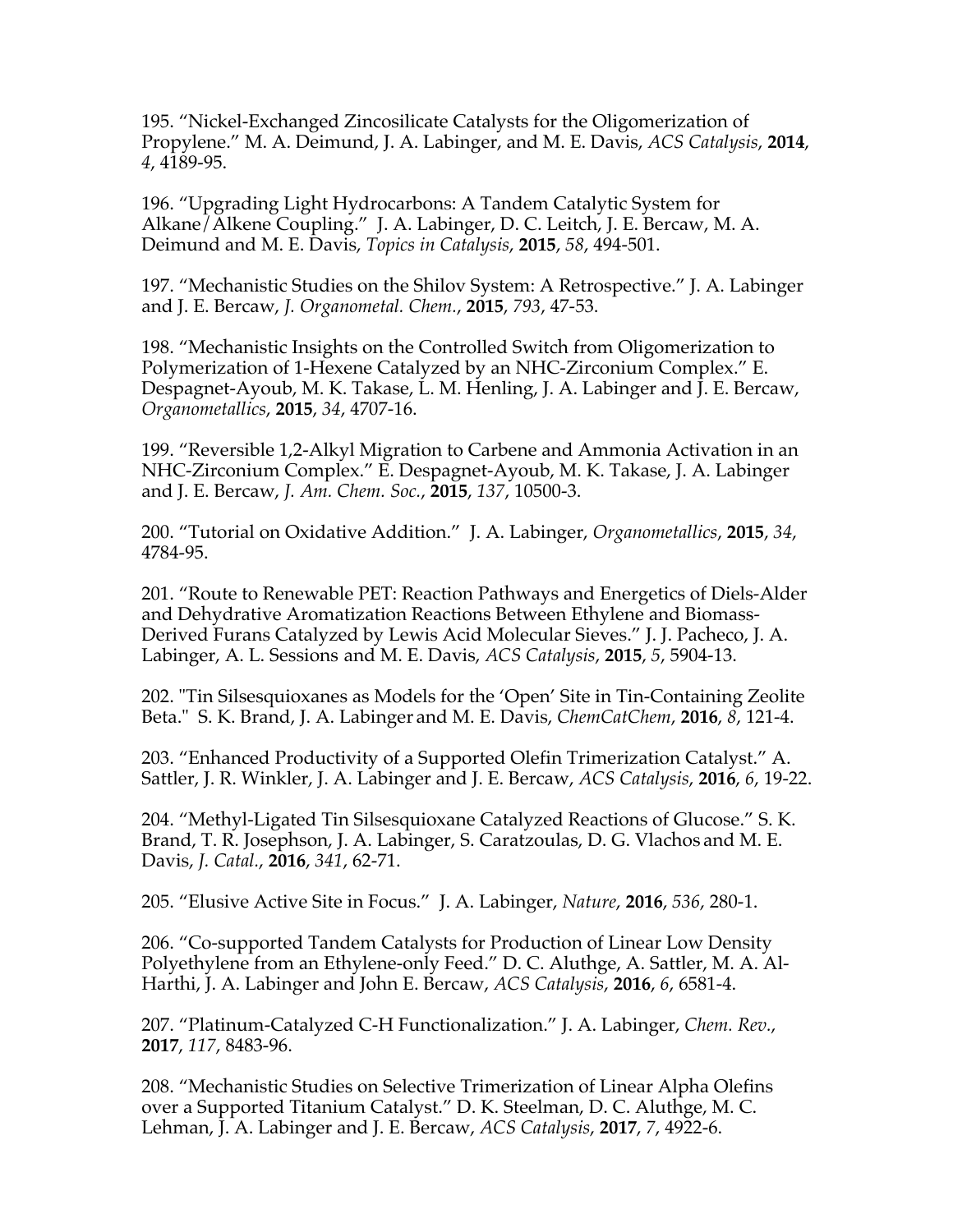195. "Nickel-Exchanged Zincosilicate Catalysts for the Oligomerization of Propylene." M. A. Deimund, J. A. Labinger, and M. E. Davis, *ACS Catalysis*, **2014**, *4*, 4189-95.

196. "Upgrading Light Hydrocarbons: A Tandem Catalytic System for Alkane/Alkene Coupling." J. A. Labinger, D. C. Leitch, J. E. Bercaw, M. A. Deimund and M. E. Davis, *Topics in Catalysis*, **2015**, *58*, 494-501.

197. "Mechanistic Studies on the Shilov System: A Retrospective." J. A. Labinger and J. E. Bercaw, *J. Organometal. Chem.*, **2015**, *793*, 47-53.

198. "Mechanistic Insights on the Controlled Switch from Oligomerization to Polymerization of 1-Hexene Catalyzed by an NHC-Zirconium Complex." E. Despagnet-Ayoub, M. K. Takase, L. M. Henling, J. A. Labinger and J. E. Bercaw, *Organometallics*, **2015**, *34*, 4707-16.

199. "Reversible 1,2-Alkyl Migration to Carbene and Ammonia Activation in an NHC-Zirconium Complex." E. Despagnet-Ayoub, M. K. Takase, J. A. Labinger and J. E. Bercaw, *J. Am. Chem. Soc.*, **2015**, *137*, 10500-3.

200. "Tutorial on Oxidative Addition." J. A. Labinger, *Organometallics*, **2015**, *34*, 4784-95.

201. "Route to Renewable PET: Reaction Pathways and Energetics of Diels-Alder and Dehydrative Aromatization Reactions Between Ethylene and Biomass-Derived Furans Catalyzed by Lewis Acid Molecular Sieves." J. J. Pacheco, J. A. Labinger, A. L. Sessions and M. E. Davis, *ACS Catalysis*, **2015**, *5*, 5904-13.

202. "Tin Silsesquioxanes as Models for the 'Open' Site in Tin-Containing Zeolite Beta." S. K. Brand, J. A. Labinger and M. E. Davis, *ChemCatChem*, **2016**, *8*, 121-4.

203. "Enhanced Productivity of a Supported Olefin Trimerization Catalyst." A. Sattler, J. R. Winkler, J. A. Labinger and J. E. Bercaw, *ACS Catalysis*, **2016**, *6*, 19-22.

204. "Methyl-Ligated Tin Silsesquioxane Catalyzed Reactions of Glucose." S. K. Brand, T. R. Josephson, J. A. Labinger, S. Caratzoulas, D. G. Vlachos and M. E. Davis, *J. Catal.*, **2016**, *341*, 62-71.

205. "Elusive Active Site in Focus." J. A. Labinger, *Nature*, **2016**, *536*, 280-1.

206. "Co-supported Tandem Catalysts for Production of Linear Low Density Polyethylene from an Ethylene-only Feed." D. C. Aluthge, A. Sattler, M. A. Al-Harthi, J. A. Labinger and John E. Bercaw, *ACS Catalysis*, **2016**, *6*, 6581-4.

207. "Platinum-Catalyzed C-H Functionalization." J. A. Labinger, *Chem. Rev.*, **2017**, *117*, 8483-96.

208. "Mechanistic Studies on Selective Trimerization of Linear Alpha Olefins over a Supported Titanium Catalyst." D. K. Steelman, D. C. Aluthge, M. C. Lehman, J. A. Labinger and J. E. Bercaw, *ACS Catalysis*, **2017**, *7*, 4922-6.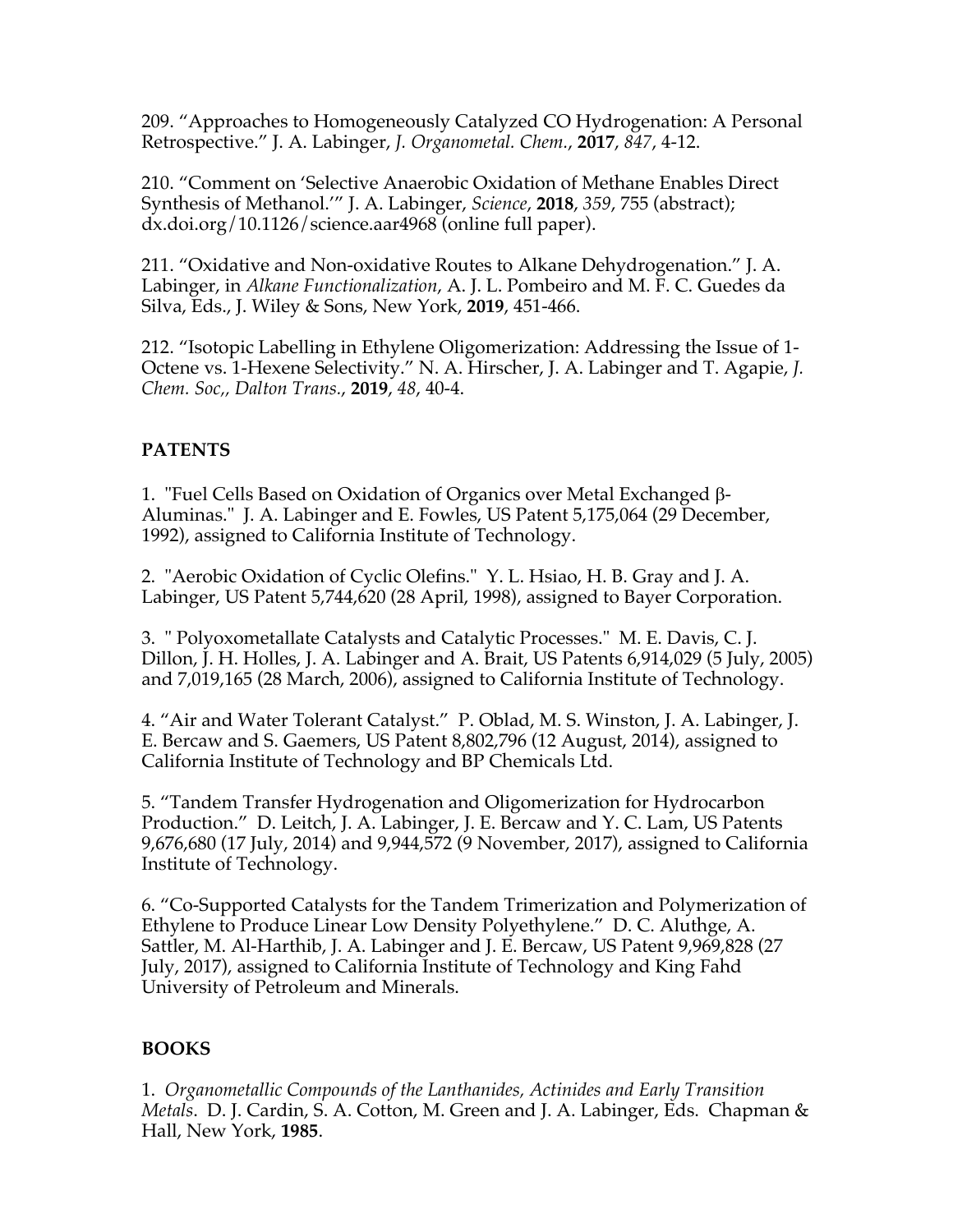209. "Approaches to Homogeneously Catalyzed CO Hydrogenation: A Personal Retrospective." J. A. Labinger, *J. Organometal. Chem.*, **2017**, *847*, 4-12.

210. "Comment on 'Selective Anaerobic Oxidation of Methane Enables Direct Synthesis of Methanol.'" J. A. Labinger, *Science*, **2018**, *359*, 755 (abstract); dx.doi.org/10.1126/science.aar4968 (online full paper).

211. "Oxidative and Non-oxidative Routes to Alkane Dehydrogenation." J. A. Labinger, in *Alkane Functionalization*, A. J. L. Pombeiro and M. F. C. Guedes da Silva, Eds., J. Wiley & Sons, New York, **2019**, 451-466.

212. "Isotopic Labelling in Ethylene Oligomerization: Addressing the Issue of 1- Octene vs. 1-Hexene Selectivity." N. A. Hirscher, J. A. Labinger and T. Agapie, *J. Chem. Soc,, Dalton Trans.*, **2019**, *48*, 40-4.

## **PATENTS**

1. "Fuel Cells Based on Oxidation of Organics over Metal Exchanged b-Aluminas." J. A. Labinger and E. Fowles, US Patent 5,175,064 (29 December, 1992), assigned to California Institute of Technology.

2. "Aerobic Oxidation of Cyclic Olefins." Y. L. Hsiao, H. B. Gray and J. A. Labinger, US Patent 5,744,620 (28 April, 1998), assigned to Bayer Corporation.

3. " Polyoxometallate Catalysts and Catalytic Processes." M. E. Davis, C. J. Dillon, J. H. Holles, J. A. Labinger and A. Brait, US Patents 6,914,029 (5 July, 2005) and 7,019,165 (28 March, 2006), assigned to California Institute of Technology.

4. "Air and Water Tolerant Catalyst." P. Oblad, M. S. Winston, J. A. Labinger, J. E. Bercaw and S. Gaemers, US Patent 8,802,796 (12 August, 2014), assigned to California Institute of Technology and BP Chemicals Ltd.

5. "Tandem Transfer Hydrogenation and Oligomerization for Hydrocarbon Production." D. Leitch, J. A. Labinger, J. E. Bercaw and Y. C. Lam, US Patents 9,676,680 (17 July, 2014) and 9,944,572 (9 November, 2017), assigned to California Institute of Technology.

6. "Co-Supported Catalysts for the Tandem Trimerization and Polymerization of Ethylene to Produce Linear Low Density Polyethylene." D. C. Aluthge, A. Sattler, M. Al-Harthib, J. A. Labinger and J. E. Bercaw, US Patent 9,969,828 (27 July, 2017), assigned to California Institute of Technology and King Fahd University of Petroleum and Minerals.

## **BOOKS**

1. *Organometallic Compounds of the Lanthanides, Actinides and Early Transition Metals*. D. J. Cardin, S. A. Cotton, M. Green and J. A. Labinger, Eds. Chapman & Hall, New York, **1985**.